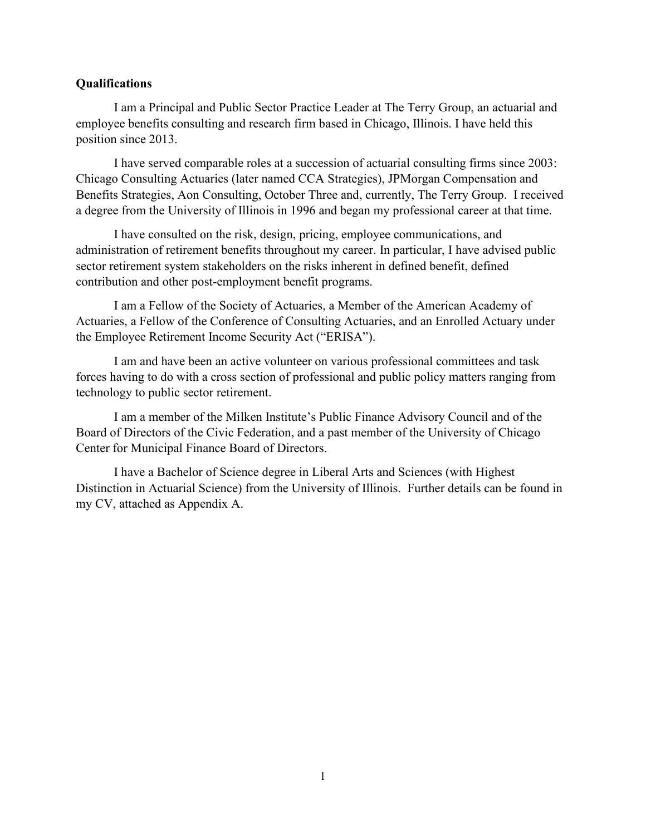#### **Qualifications**

I am a Principal and Public Sector Practice Leader at The Terry Group, an actuarial and employee benefits consulting and research firm based in Chicago, Illinois. I have held this position since 2013.

I have served comparable roles at a succession of actuarial consulting firms since 2003: Chicago Consulting Actuaries (later named CCA Strategies), JPMorgan Compensation and Benefits Strategies, Aon Consulting, October Three and, currently, The Terry Group. I received a degree from the University of Illinois in 1996 and began my professional career at that time.

I have consulted on the risk, design, pricing, employee communications, and administration of retirement benefits throughout my career. In particular, I have advised public sector retirement system stakeholders on the risks inherent in defined benefit, defined contribution and other post-employment benefit programs.

I am a Fellow of the Society of Actuaries, a Member of the American Academy of Actuaries, a Fellow of the Conference of Consulting Actuaries, and an Enrolled Actuary under the Employee Retirement Income Security Act ("ERISA").

I am and have been an active volunteer on various professional committees and task forces having to do with a cross section of professional and public policy matters ranging from technology to public sector retirement.

I am a member of the Milken Institute's Public Finance Advisory Council and of the Board of Directors of the Civic Federation, and a past member of the University of Chicago Center for Municipal Finance Board of Directors.

I have a Bachelor of Science degree in Liberal Arts and Sciences (with Highest Distinction in Actuarial Science) from the University of Illinois. Further details can be found in my CV, attached as Appendix A.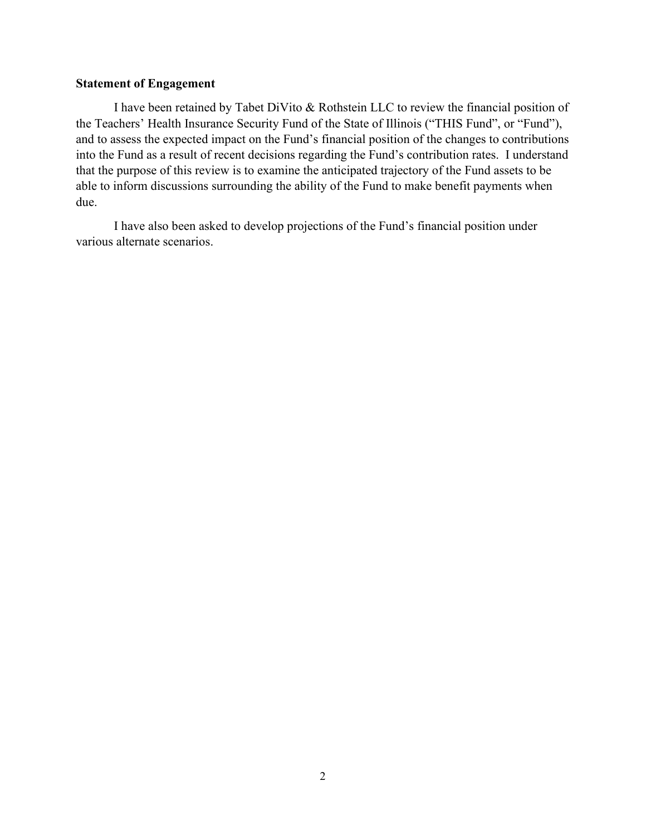#### **Statement of Engagement**

I have been retained by Tabet DiVito & Rothstein LLC to review the financial position of the Teachers' Health Insurance Security Fund of the State of Illinois ("THIS Fund", or "Fund"), and to assess the expected impact on the Fund's financial position of the changes to contributions into the Fund as a result of recent decisions regarding the Fund's contribution rates. I understand that the purpose of this review is to examine the anticipated trajectory of the Fund assets to be able to inform discussions surrounding the ability of the Fund to make benefit payments when due.

I have also been asked to develop projections of the Fund's financial position under various alternate scenarios.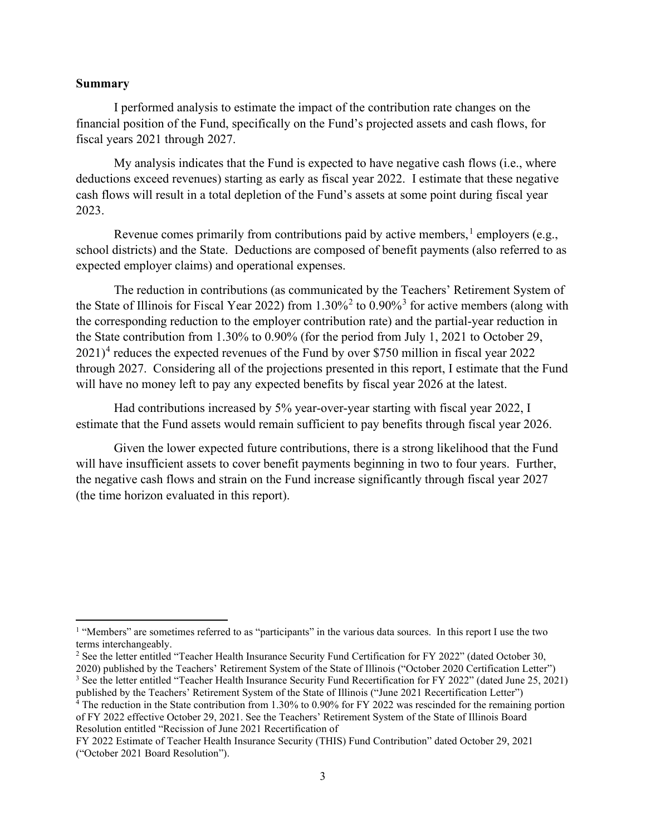#### **Summary**

I performed analysis to estimate the impact of the contribution rate changes on the financial position of the Fund, specifically on the Fund's projected assets and cash flows, for fiscal years 2021 through 2027.

My analysis indicates that the Fund is expected to have negative cash flows (i.e., where deductions exceed revenues) starting as early as fiscal year 2022. I estimate that these negative cash flows will result in a total depletion of the Fund's assets at some point during fiscal year 2023.

Revenue comes primarily from contributions paid by active members, <sup>[1](#page-2-0)</sup> employers (e.g., school districts) and the State. Deductions are composed of benefit payments (also referred to as expected employer claims) and operational expenses.

The reduction in contributions (as communicated by the Teachers' Retirement System of the State of Illinois for Fiscal Year [2](#page-2-1)022) from  $1.30\%$  $1.30\%$  $1.30\%$ <sup>2</sup> to  $0.90\%$ <sup>3</sup> for active members (along with the corresponding reduction to the employer contribution rate) and the partial-year reduction in the State contribution from 1.30% to 0.90% (for the period from July 1, 2021 to October 29, 2021)<sup>[4](#page-2-3)</sup> reduces the expected revenues of the Fund by over \$750 million in fiscal year 2022 through 2027. Considering all of the projections presented in this report, I estimate that the Fund will have no money left to pay any expected benefits by fiscal year 2026 at the latest.

Had contributions increased by 5% year-over-year starting with fiscal year 2022, I estimate that the Fund assets would remain sufficient to pay benefits through fiscal year 2026.

Given the lower expected future contributions, there is a strong likelihood that the Fund will have insufficient assets to cover benefit payments beginning in two to four years. Further, the negative cash flows and strain on the Fund increase significantly through fiscal year 2027 (the time horizon evaluated in this report).

<span id="page-2-0"></span><sup>&</sup>lt;sup>1</sup> "Members" are sometimes referred to as "participants" in the various data sources. In this report I use the two terms interchangeably.

<span id="page-2-1"></span><sup>&</sup>lt;sup>2</sup> See the letter entitled "Teacher Health Insurance Security Fund Certification for FY 2022" (dated October 30, 2020) published by the Teachers' Retirement System of the State of Illinois ("October 2020 Certification Letter")

<span id="page-2-2"></span><sup>3</sup> See the letter entitled "Teacher Health Insurance Security Fund Recertification for FY 2022" (dated June 25, 2021) published by the Teachers' Retirement System of the State of Illinois ("June 2021 Recertification Letter")

<span id="page-2-3"></span><sup>4</sup> The reduction in the State contribution from 1.30% to 0.90% for FY 2022 was rescinded for the remaining portion of FY 2022 effective October 29, 2021. See the Teachers' Retirement System of the State of Illinois Board Resolution entitled "Recission of June 2021 Recertification of

FY 2022 Estimate of Teacher Health Insurance Security (THIS) Fund Contribution" dated October 29, 2021 ("October 2021 Board Resolution").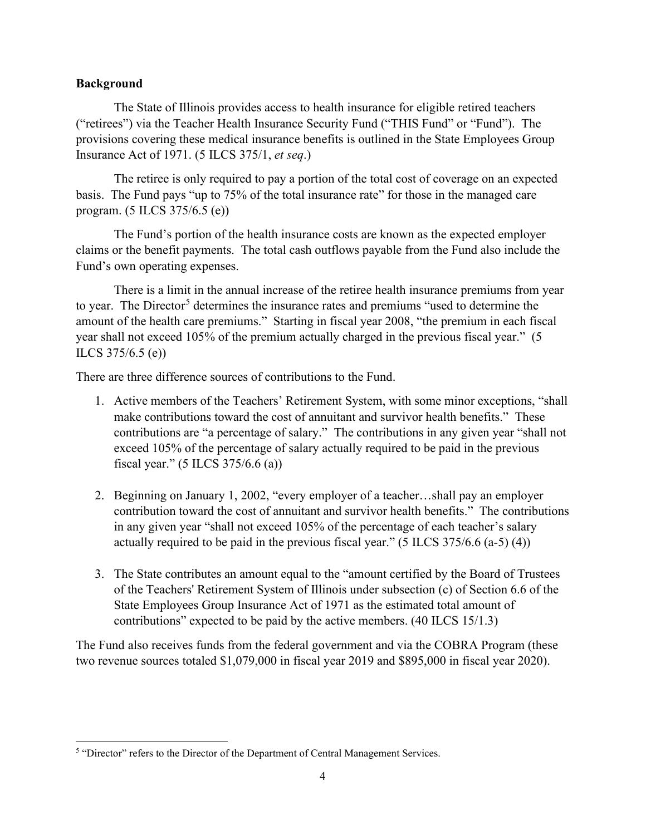### **Background**

The State of Illinois provides access to health insurance for eligible retired teachers ("retirees") via the Teacher Health Insurance Security Fund ("THIS Fund" or "Fund"). The provisions covering these medical insurance benefits is outlined in the State Employees Group Insurance Act of 1971. (5 ILCS 375/1, *et seq*.)

The retiree is only required to pay a portion of the total cost of coverage on an expected basis. The Fund pays "up to 75% of the total insurance rate" for those in the managed care program. (5 ILCS 375/6.5 (e))

The Fund's portion of the health insurance costs are known as the expected employer claims or the benefit payments. The total cash outflows payable from the Fund also include the Fund's own operating expenses.

There is a limit in the annual increase of the retiree health insurance premiums from year to year. The Director<sup>[5](#page-3-0)</sup> determines the insurance rates and premiums "used to determine the amount of the health care premiums." Starting in fiscal year 2008, "the premium in each fiscal year shall not exceed 105% of the premium actually charged in the previous fiscal year." (5 ILCS 375/6.5 (e))

There are three difference sources of contributions to the Fund.

- 1. Active members of the Teachers' Retirement System, with some minor exceptions, "shall make contributions toward the cost of annuitant and survivor health benefits." These contributions are "a percentage of salary." The contributions in any given year "shall not exceed 105% of the percentage of salary actually required to be paid in the previous fiscal year." (5 ILCS 375/6.6 (a))
- 2. Beginning on January 1, 2002, "every employer of a teacher…shall pay an employer contribution toward the cost of annuitant and survivor health benefits." The contributions in any given year "shall not exceed 105% of the percentage of each teacher's salary actually required to be paid in the previous fiscal year."  $(5$  ILCS 375/6.6  $(a-5)$  (4))
- 3. The State contributes an amount equal to the "amount certified by the Board of Trustees of the Teachers' Retirement System of Illinois under subsection (c) of Section 6.6 of the State Employees Group Insurance Act of 1971 as the estimated total amount of contributions" expected to be paid by the active members. (40 ILCS 15/1.3)

The Fund also receives funds from the federal government and via the COBRA Program (these two revenue sources totaled \$1,079,000 in fiscal year 2019 and \$895,000 in fiscal year 2020).

<span id="page-3-0"></span><sup>&</sup>lt;sup>5</sup> "Director" refers to the Director of the Department of Central Management Services.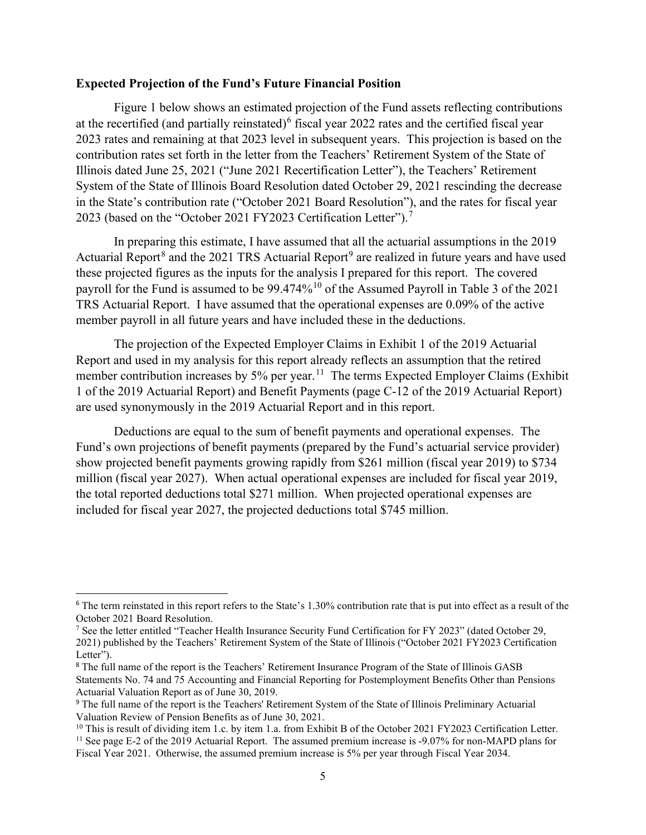#### **Expected Projection of the Fund's Future Financial Position**

Figure 1 below shows an estimated projection of the Fund assets reflecting contributions at the recertified (and partially reinstated)<sup>[6](#page-4-0)</sup> fiscal year 2022 rates and the certified fiscal year 2023 rates and remaining at that 2023 level in subsequent years. This projection is based on the contribution rates set forth in the letter from the Teachers' Retirement System of the State of Illinois dated June 25, 2021 ("June 2021 Recertification Letter"), the Teachers' Retirement System of the State of Illinois Board Resolution dated October 29, 2021 rescinding the decrease in the State's contribution rate ("October 2021 Board Resolution"), and the rates for fiscal year 2023 (based on the "October 2021 FY2023 Certification Letter").<sup>[7](#page-4-1)</sup>

In preparing this estimate, I have assumed that all the actuarial assumptions in the 2019 Actuarial Report<sup>[8](#page-4-2)</sup> and the 2021 TRS Actuarial Report<sup>[9](#page-4-3)</sup> are realized in future years and have used these projected figures as the inputs for the analysis I prepared for this report. The covered payroll for the Fund is assumed to be 99.474%<sup>[10](#page-4-4)</sup> of the Assumed Payroll in Table 3 of the 2021 TRS Actuarial Report. I have assumed that the operational expenses are 0.09% of the active member payroll in all future years and have included these in the deductions.

The projection of the Expected Employer Claims in Exhibit 1 of the 2019 Actuarial Report and used in my analysis for this report already reflects an assumption that the retired member contribution increases by 5% per year.<sup>11</sup> The terms Expected Employer Claims (Exhibit 1 of the 2019 Actuarial Report) and Benefit Payments (page C-12 of the 2019 Actuarial Report) are used synonymously in the 2019 Actuarial Report and in this report.

Deductions are equal to the sum of benefit payments and operational expenses. The Fund's own projections of benefit payments (prepared by the Fund's actuarial service provider) show projected benefit payments growing rapidly from \$261 million (fiscal year 2019) to \$734 million (fiscal year 2027). When actual operational expenses are included for fiscal year 2019, the total reported deductions total \$271 million. When projected operational expenses are included for fiscal year 2027, the projected deductions total \$745 million.

<span id="page-4-0"></span><sup>6</sup> The term reinstated in this report refers to the State's 1.30% contribution rate that is put into effect as a result of the October 2021 Board Resolution.

<span id="page-4-1"></span><sup>7</sup> See the letter entitled "Teacher Health Insurance Security Fund Certification for FY 2023" (dated October 29, 2021) published by the Teachers' Retirement System of the State of Illinois ("October 2021 FY2023 Certification Letter").

<span id="page-4-2"></span><sup>8</sup> The full name of the report is the Teachers' Retirement Insurance Program of the State of Illinois GASB Statements No. 74 and 75 Accounting and Financial Reporting for Postemployment Benefits Other than Pensions Actuarial Valuation Report as of June 30, 2019.

<span id="page-4-3"></span><sup>9</sup> The full name of the report is the Teachers' Retirement System of the State of Illinois Preliminary Actuarial Valuation Review of Pension Benefits as of June 30, 2021.

<span id="page-4-5"></span><span id="page-4-4"></span> $10$  This is result of dividing item 1.c. by item 1.a. from Exhibit B of the October 2021 FY2023 Certification Letter. <sup>11</sup> See page E-2 of the 2019 Actuarial Report. The assumed premium increase is -9.07% for non-MAPD plans for

Fiscal Year 2021. Otherwise, the assumed premium increase is 5% per year through Fiscal Year 2034.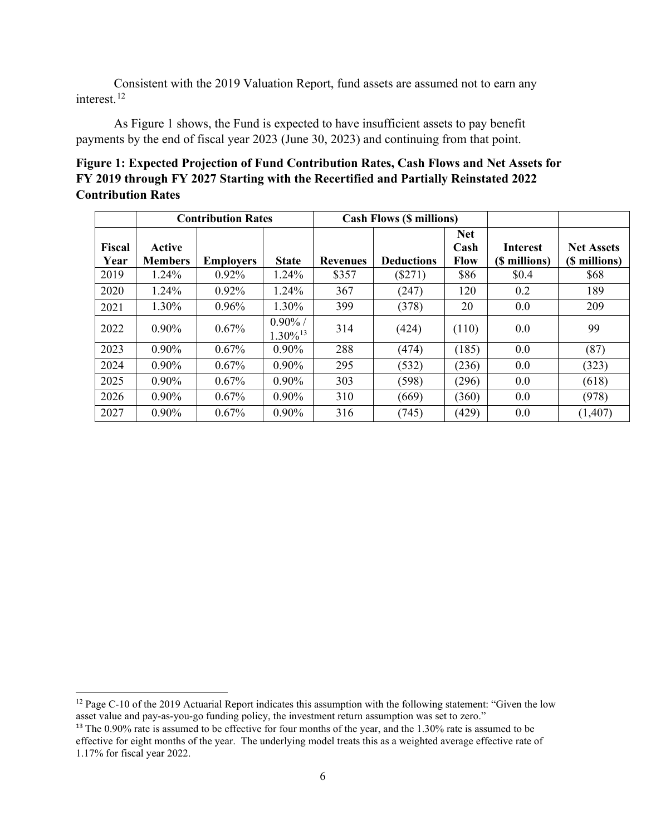Consistent with the 2019 Valuation Report, fund assets are assumed not to earn any interest.<sup>[12](#page-5-0)</sup>

As Figure 1 shows, the Fund is expected to have insufficient assets to pay benefit payments by the end of fiscal year 2023 (June 30, 2023) and continuing from that point.

# **Figure 1: Expected Projection of Fund Contribution Rates, Cash Flows and Net Assets for FY 2019 through FY 2027 Starting with the Recertified and Partially Reinstated 2022 Contribution Rates**

|                       |                          | <b>Contribution Rates</b> |                                      |                 | <b>Cash Flows (\$ millions)</b> |                                   |                                  |                                    |
|-----------------------|--------------------------|---------------------------|--------------------------------------|-----------------|---------------------------------|-----------------------------------|----------------------------------|------------------------------------|
| <b>Fiscal</b><br>Year | Active<br><b>Members</b> | <b>Employers</b>          | <b>State</b>                         | <b>Revenues</b> | <b>Deductions</b>               | <b>Net</b><br>Cash<br><b>Flow</b> | <b>Interest</b><br>(\$ millions) | <b>Net Assets</b><br>(\$ millions) |
| 2019                  | 1.24%                    | 0.92%                     | 1.24%                                | \$357           | (\$271)                         | \$86                              | \$0.4                            | \$68                               |
| 2020                  | 1.24%                    | 0.92%                     | 1.24%                                | 367             | (247)                           | 120                               | 0.2                              | 189                                |
| 2021                  | 1.30%                    | 0.96%                     | 1.30%                                | 399             | (378)                           | 20                                | 0.0                              | 209                                |
| 2022                  | $0.90\%$                 | 0.67%                     | $0.90\%$ /<br>$1.30\%$ <sup>13</sup> | 314             | (424)                           | (110)                             | 0.0                              | 99                                 |
| 2023                  | $0.90\%$                 | 0.67%                     | $0.90\%$                             | 288             | (474)                           | (185)                             | 0.0                              | (87)                               |
| 2024                  | $0.90\%$                 | 0.67%                     | $0.90\%$                             | 295             | (532)                           | (236)                             | 0.0                              | (323)                              |
| 2025                  | $0.90\%$                 | 0.67%                     | $0.90\%$                             | 303             | (598)                           | (296)                             | 0.0                              | (618)                              |
| 2026                  | $0.90\%$                 | 0.67%                     | $0.90\%$                             | 310             | (669)                           | (360)                             | 0.0                              | (978)                              |
| 2027                  | $0.90\%$                 | 0.67%                     | $0.90\%$                             | 316             | (745)                           | (429)                             | 0.0                              | (1,407)                            |

<span id="page-5-0"></span><sup>&</sup>lt;sup>12</sup> Page C-10 of the 2019 Actuarial Report indicates this assumption with the following statement: "Given the low asset value and pay-as-you-go funding policy, the investment return assumption was set to zero."

<span id="page-5-1"></span><sup>&</sup>lt;sup>13</sup> The 0.90% rate is assumed to be effective for four months of the year, and the 1.30% rate is assumed to be effective for eight months of the year. The underlying model treats this as a weighted average effective rate of 1.17% for fiscal year 2022.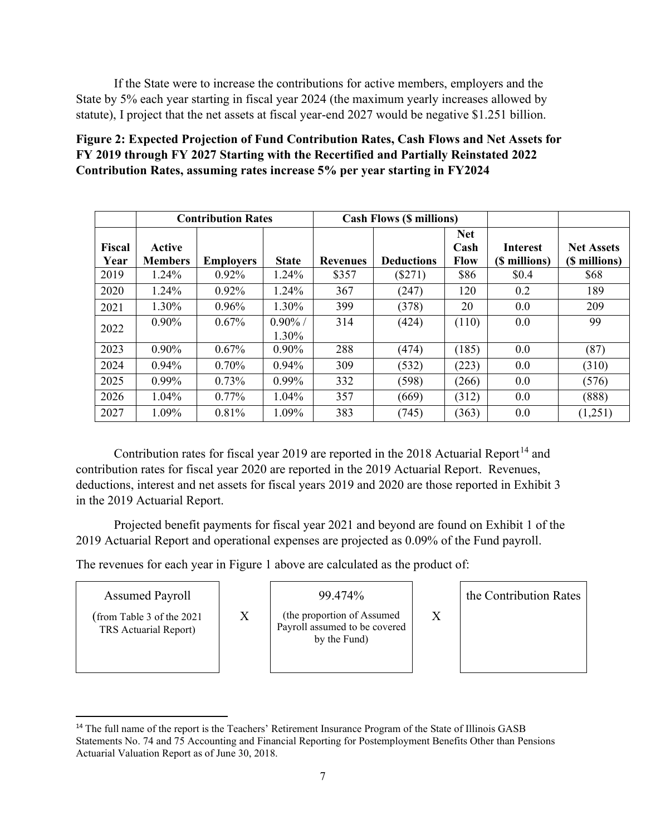If the State were to increase the contributions for active members, employers and the State by 5% each year starting in fiscal year 2024 (the maximum yearly increases allowed by statute), I project that the net assets at fiscal year-end 2027 would be negative \$1.251 billion.

# **Figure 2: Expected Projection of Fund Contribution Rates, Cash Flows and Net Assets for FY 2019 through FY 2027 Starting with the Recertified and Partially Reinstated 2022 Contribution Rates, assuming rates increase 5% per year starting in FY2024**

|                |                          | <b>Contribution Rates</b> |                     |                 | <b>Cash Flows (\$ millions)</b> |                                   |                                  |                                    |
|----------------|--------------------------|---------------------------|---------------------|-----------------|---------------------------------|-----------------------------------|----------------------------------|------------------------------------|
| Fiscal<br>Year | Active<br><b>Members</b> | <b>Employers</b>          | <b>State</b>        | <b>Revenues</b> | <b>Deductions</b>               | <b>Net</b><br>Cash<br><b>Flow</b> | <b>Interest</b><br>(\$ millions) | <b>Net Assets</b><br>(\$ millions) |
| 2019           | 1.24%                    | $0.92\%$                  | 1.24%               | \$357           | $(\$271)$                       | \$86                              | \$0.4                            | \$68                               |
| 2020           | 1.24%                    | 0.92%                     | 1.24%               | 367             | (247)                           | 120                               | 0.2                              | 189                                |
| 2021           | 1.30%                    | $0.96\%$                  | 1.30%               | 399             | (378)                           | 20                                | 0.0                              | 209                                |
| 2022           | $0.90\%$                 | $0.67\%$                  | $0.90\%$ /<br>1.30% | 314             | (424)                           | (110)                             | 0.0                              | 99                                 |
| 2023           | $0.90\%$                 | $0.67\%$                  | $0.90\%$            | 288             | (474)                           | (185)                             | 0.0                              | (87)                               |
| 2024           | $0.94\%$                 | 0.70%                     | $0.94\%$            | 309             | (532)                           | (223)                             | 0.0                              | (310)                              |
| 2025           | $0.99\%$                 | 0.73%                     | $0.99\%$            | 332             | (598)                           | (266)                             | 0.0                              | (576)                              |
| 2026           | $1.04\%$                 | $0.77\%$                  | $1.04\%$            | 357             | (669)                           | (312)                             | 0.0                              | (888)                              |
| 2027           | 1.09%                    | 0.81%                     | 1.09%               | 383             | (745)                           | (363)                             | 0.0                              | (1,251)                            |

Contribution rates for fiscal year 2019 are reported in the 2018 Actuarial Report<sup>[14](#page-6-0)</sup> and contribution rates for fiscal year 2020 are reported in the 2019 Actuarial Report. Revenues, deductions, interest and net assets for fiscal years 2019 and 2020 are those reported in Exhibit 3 in the 2019 Actuarial Report.

Projected benefit payments for fiscal year 2021 and beyond are found on Exhibit 1 of the 2019 Actuarial Report and operational expenses are projected as 0.09% of the Fund payroll.

The revenues for each year in Figure 1 above are calculated as the product of:

X

# Assumed Payroll

(from Table 3 of the 2021 TRS Actuarial Report)

99.474%

(the proportion of Assumed Payroll assumed to be covered by the Fund)

the Contribution Rates

X

<span id="page-6-0"></span><sup>&</sup>lt;sup>14</sup> The full name of the report is the Teachers' Retirement Insurance Program of the State of Illinois GASB Statements No. 74 and 75 Accounting and Financial Reporting for Postemployment Benefits Other than Pensions Actuarial Valuation Report as of June 30, 2018.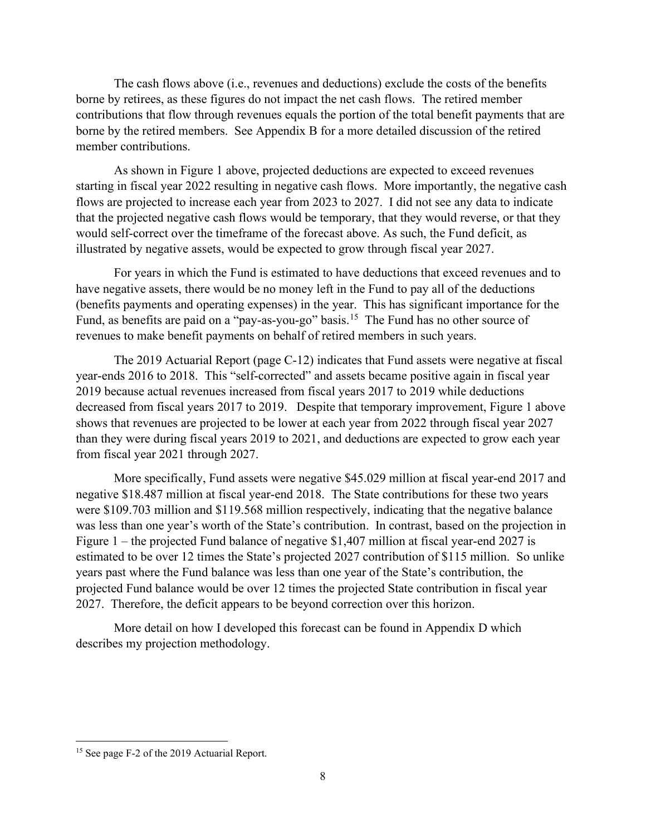The cash flows above (i.e., revenues and deductions) exclude the costs of the benefits borne by retirees, as these figures do not impact the net cash flows. The retired member contributions that flow through revenues equals the portion of the total benefit payments that are borne by the retired members. See Appendix B for a more detailed discussion of the retired member contributions.

As shown in Figure 1 above, projected deductions are expected to exceed revenues starting in fiscal year 2022 resulting in negative cash flows. More importantly, the negative cash flows are projected to increase each year from 2023 to 2027. I did not see any data to indicate that the projected negative cash flows would be temporary, that they would reverse, or that they would self-correct over the timeframe of the forecast above. As such, the Fund deficit, as illustrated by negative assets, would be expected to grow through fiscal year 2027.

For years in which the Fund is estimated to have deductions that exceed revenues and to have negative assets, there would be no money left in the Fund to pay all of the deductions (benefits payments and operating expenses) in the year. This has significant importance for the Fund, as benefits are paid on a "pay-as-you-go" basis.<sup>15</sup> The Fund has no other source of revenues to make benefit payments on behalf of retired members in such years.

The 2019 Actuarial Report (page C-12) indicates that Fund assets were negative at fiscal year-ends 2016 to 2018. This "self-corrected" and assets became positive again in fiscal year 2019 because actual revenues increased from fiscal years 2017 to 2019 while deductions decreased from fiscal years 2017 to 2019. Despite that temporary improvement, Figure 1 above shows that revenues are projected to be lower at each year from 2022 through fiscal year 2027 than they were during fiscal years 2019 to 2021, and deductions are expected to grow each year from fiscal year 2021 through 2027.

More specifically, Fund assets were negative \$45.029 million at fiscal year-end 2017 and negative \$18.487 million at fiscal year-end 2018. The State contributions for these two years were \$109.703 million and \$119.568 million respectively, indicating that the negative balance was less than one year's worth of the State's contribution. In contrast, based on the projection in Figure 1 – the projected Fund balance of negative \$1,407 million at fiscal year-end 2027 is estimated to be over 12 times the State's projected 2027 contribution of \$115 million. So unlike years past where the Fund balance was less than one year of the State's contribution, the projected Fund balance would be over 12 times the projected State contribution in fiscal year 2027. Therefore, the deficit appears to be beyond correction over this horizon.

More detail on how I developed this forecast can be found in Appendix D which describes my projection methodology.

<span id="page-7-0"></span><sup>&</sup>lt;sup>15</sup> See page F-2 of the 2019 Actuarial Report.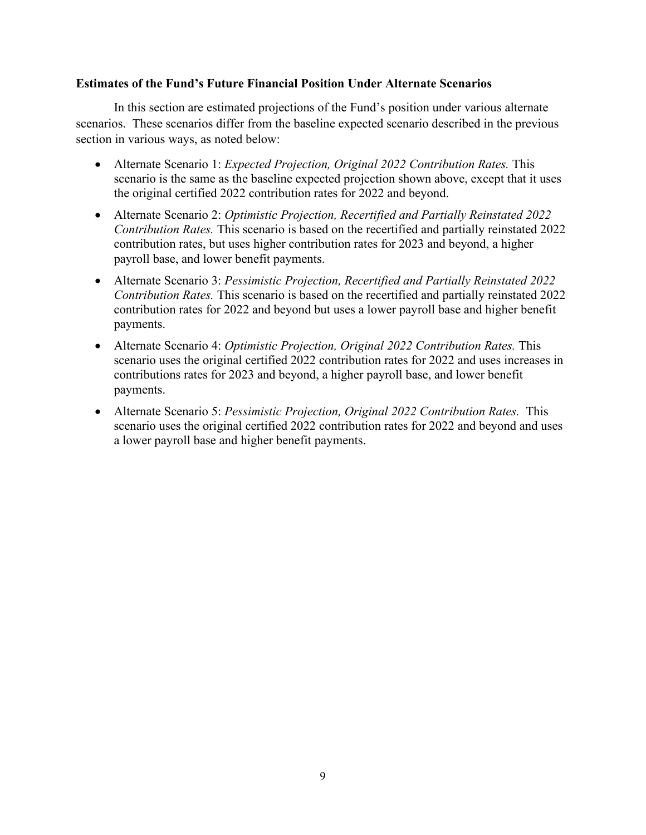#### **Estimates of the Fund's Future Financial Position Under Alternate Scenarios**

In this section are estimated projections of the Fund's position under various alternate scenarios. These scenarios differ from the baseline expected scenario described in the previous section in various ways, as noted below:

- Alternate Scenario 1: *Expected Projection, Original 2022 Contribution Rates.* This scenario is the same as the baseline expected projection shown above, except that it uses the original certified 2022 contribution rates for 2022 and beyond.
- Alternate Scenario 2: *Optimistic Projection, Recertified and Partially Reinstated 2022 Contribution Rates.* This scenario is based on the recertified and partially reinstated 2022 contribution rates, but uses higher contribution rates for 2023 and beyond, a higher payroll base, and lower benefit payments.
- Alternate Scenario 3: *Pessimistic Projection, Recertified and Partially Reinstated 2022 Contribution Rates.* This scenario is based on the recertified and partially reinstated 2022 contribution rates for 2022 and beyond but uses a lower payroll base and higher benefit payments.
- Alternate Scenario 4: *Optimistic Projection, Original 2022 Contribution Rates.* This scenario uses the original certified 2022 contribution rates for 2022 and uses increases in contributions rates for 2023 and beyond, a higher payroll base, and lower benefit payments.
- Alternate Scenario 5: *Pessimistic Projection, Original 2022 Contribution Rates.* This scenario uses the original certified 2022 contribution rates for 2022 and beyond and uses a lower payroll base and higher benefit payments.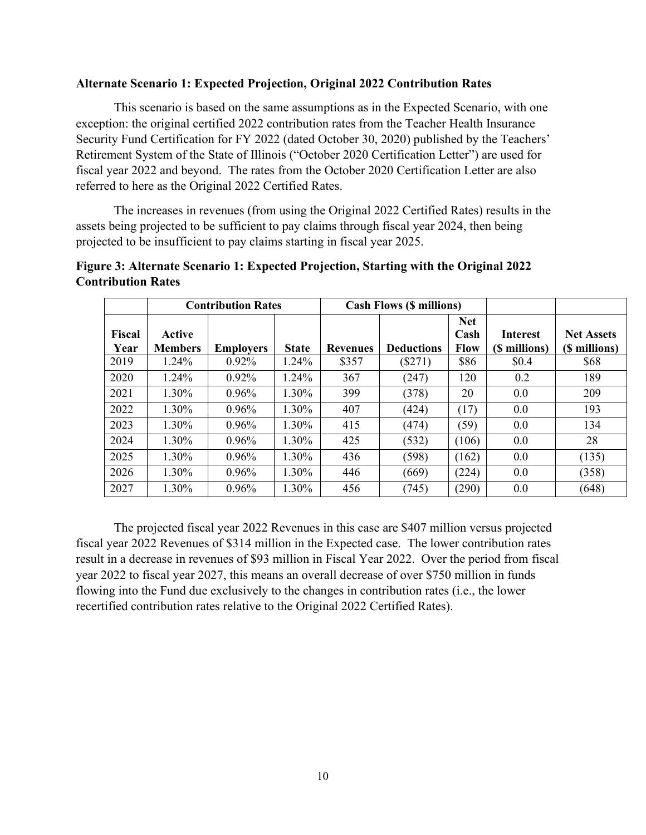#### **Alternate Scenario 1: Expected Projection, Original 2022 Contribution Rates**

This scenario is based on the same assumptions as in the Expected Scenario, with one exception: the original certified 2022 contribution rates from the Teacher Health Insurance Security Fund Certification for FY 2022 (dated October 30, 2020) published by the Teachers' Retirement System of the State of Illinois ("October 2020 Certification Letter") are used for fiscal year 2022 and beyond. The rates from the October 2020 Certification Letter are also referred to here as the Original 2022 Certified Rates.

The increases in revenues (from using the Original 2022 Certified Rates) results in the assets being projected to be sufficient to pay claims through fiscal year 2024, then being projected to be insufficient to pay claims starting in fiscal year 2025.

|                       |                          | <b>Contribution Rates</b> |              |                 | <b>Cash Flows (\$ millions)</b> |                                   |                                  |                                    |
|-----------------------|--------------------------|---------------------------|--------------|-----------------|---------------------------------|-----------------------------------|----------------------------------|------------------------------------|
| <b>Fiscal</b><br>Year | Active<br><b>Members</b> | <b>Employers</b>          | <b>State</b> | <b>Revenues</b> | <b>Deductions</b>               | <b>Net</b><br>Cash<br><b>Flow</b> | <b>Interest</b><br>(\$ millions) | <b>Net Assets</b><br>(\$ millions) |
| 2019                  | 1.24%                    | $0.92\%$                  | 1.24%        | \$357           | $(\$271)$                       | \$86                              | \$0.4                            | \$68                               |
| 2020                  | 1.24%                    | $0.92\%$                  | 1.24%        | 367             | (247)                           | 120                               | 0.2                              | 189                                |
| 2021                  | 1.30%                    | $0.96\%$                  | 1.30%        | 399             | (378)                           | 20                                | 0.0                              | 209                                |
| 2022                  | 1.30%                    | 0.96%                     | 1.30%        | 407             | (424)                           | (17)                              | 0.0                              | 193                                |
| 2023                  | 1.30%                    | $0.96\%$                  | 1.30%        | 415             | (474)                           | (59)                              | 0.0                              | 134                                |
| 2024                  | 1.30%                    | $0.96\%$                  | 1.30%        | 425             | (532)                           | (106)                             | 0.0                              | 28                                 |
| 2025                  | 1.30%                    | $0.96\%$                  | 1.30%        | 436             | (598)                           | (162)                             | 0.0                              | (135)                              |
| 2026                  | 1.30%                    | $0.96\%$                  | 1.30%        | 446             | (669)                           | (224)                             | 0.0                              | (358)                              |
| 2027                  | 1.30%                    | 0.96%                     | 1.30%        | 456             | (745)                           | (290)                             | 0.0                              | (648)                              |

### **Figure 3: Alternate Scenario 1: Expected Projection, Starting with the Original 2022 Contribution Rates**

The projected fiscal year 2022 Revenues in this case are \$407 million versus projected fiscal year 2022 Revenues of \$314 million in the Expected case. The lower contribution rates result in a decrease in revenues of \$93 million in Fiscal Year 2022. Over the period from fiscal year 2022 to fiscal year 2027, this means an overall decrease of over \$750 million in funds flowing into the Fund due exclusively to the changes in contribution rates (i.e., the lower recertified contribution rates relative to the Original 2022 Certified Rates).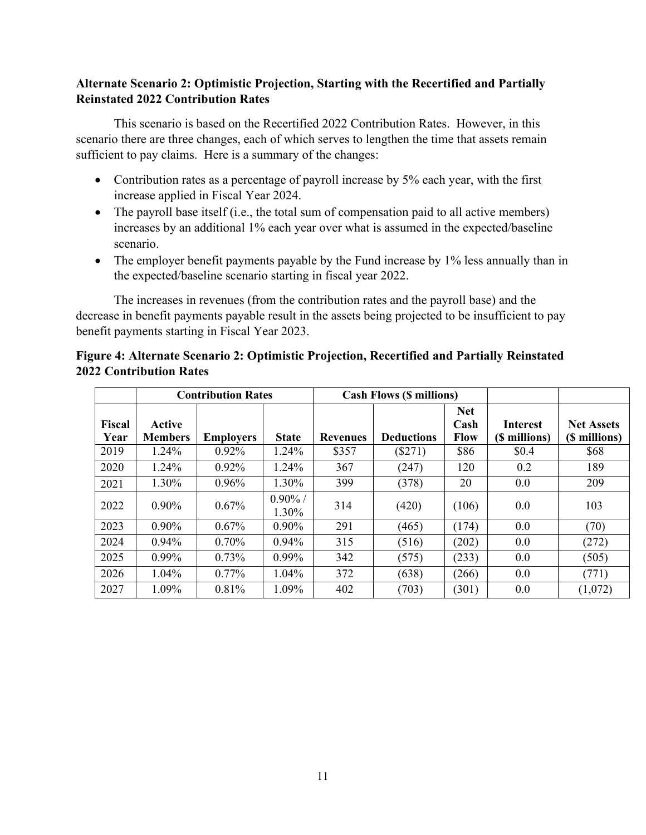# **Alternate Scenario 2: Optimistic Projection, Starting with the Recertified and Partially Reinstated 2022 Contribution Rates**

This scenario is based on the Recertified 2022 Contribution Rates. However, in this scenario there are three changes, each of which serves to lengthen the time that assets remain sufficient to pay claims. Here is a summary of the changes:

- Contribution rates as a percentage of payroll increase by 5% each year, with the first increase applied in Fiscal Year 2024.
- The payroll base itself (i.e., the total sum of compensation paid to all active members) increases by an additional 1% each year over what is assumed in the expected/baseline scenario.
- The employer benefit payments payable by the Fund increase by 1% less annually than in the expected/baseline scenario starting in fiscal year 2022.

The increases in revenues (from the contribution rates and the payroll base) and the decrease in benefit payments payable result in the assets being projected to be insufficient to pay benefit payments starting in Fiscal Year 2023.

|                       |                          | <b>Contribution Rates</b> |                     |                 | <b>Cash Flows (\$ millions)</b> |                                   |                                  |                                    |
|-----------------------|--------------------------|---------------------------|---------------------|-----------------|---------------------------------|-----------------------------------|----------------------------------|------------------------------------|
| <b>Fiscal</b><br>Year | Active<br><b>Members</b> | <b>Employers</b>          | <b>State</b>        | <b>Revenues</b> | <b>Deductions</b>               | <b>Net</b><br>Cash<br><b>Flow</b> | <b>Interest</b><br>(\$ millions) | <b>Net Assets</b><br>(\$ millions) |
| 2019                  | 1.24%                    | $0.92\%$                  | 1.24%               | \$357           | $(\$271)$                       | \$86                              | \$0.4                            | \$68                               |
| 2020                  | 1.24%                    | 0.92%                     | 1.24%               | 367             | (247)                           | 120                               | 0.2                              | 189                                |
| 2021                  | 1.30%                    | $0.96\%$                  | 1.30%               | 399             | (378)                           | 20                                | 0.0                              | 209                                |
| 2022                  | $0.90\%$                 | $0.67\%$                  | $0.90\%$ /<br>1.30% | 314             | (420)                           | (106)                             | 0.0                              | 103                                |
| 2023                  | $0.90\%$                 | 0.67%                     | $0.90\%$            | 291             | (465)                           | (174)                             | 0.0                              | (70)                               |
| 2024                  | $0.94\%$                 | $0.70\%$                  | $0.94\%$            | 315             | (516)                           | (202)                             | 0.0                              | (272)                              |
| 2025                  | $0.99\%$                 | $0.73\%$                  | $0.99\%$            | 342             | (575)                           | (233)                             | 0.0                              | (505)                              |
| 2026                  | $1.04\%$                 | $0.77\%$                  | 1.04%               | 372             | (638)                           | (266)                             | 0.0                              | (771)                              |
| 2027                  | 1.09%                    | 0.81%                     | 1.09%               | 402             | (703)                           | (301)                             | 0.0                              | (1,072)                            |

# **Figure 4: Alternate Scenario 2: Optimistic Projection, Recertified and Partially Reinstated 2022 Contribution Rates**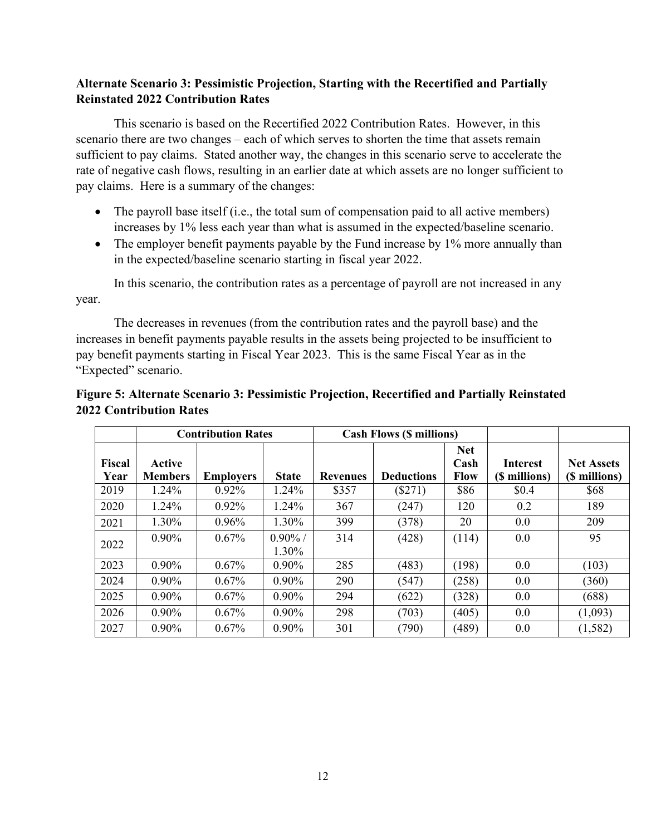# **Alternate Scenario 3: Pessimistic Projection, Starting with the Recertified and Partially Reinstated 2022 Contribution Rates**

This scenario is based on the Recertified 2022 Contribution Rates. However, in this scenario there are two changes – each of which serves to shorten the time that assets remain sufficient to pay claims. Stated another way, the changes in this scenario serve to accelerate the rate of negative cash flows, resulting in an earlier date at which assets are no longer sufficient to pay claims. Here is a summary of the changes:

- The payroll base itself (i.e., the total sum of compensation paid to all active members) increases by 1% less each year than what is assumed in the expected/baseline scenario.
- The employer benefit payments payable by the Fund increase by 1% more annually than in the expected/baseline scenario starting in fiscal year 2022.

In this scenario, the contribution rates as a percentage of payroll are not increased in any year.

The decreases in revenues (from the contribution rates and the payroll base) and the increases in benefit payments payable results in the assets being projected to be insufficient to pay benefit payments starting in Fiscal Year 2023. This is the same Fiscal Year as in the "Expected" scenario.

| Figure 5: Alternate Scenario 3: Pessimistic Projection, Recertified and Partially Reinstated |  |
|----------------------------------------------------------------------------------------------|--|
| <b>2022 Contribution Rates</b>                                                               |  |

|                |                                 | <b>Contribution Rates</b> |                     |                 | <b>Cash Flows (\$ millions)</b> |                                   |                                  |                                    |
|----------------|---------------------------------|---------------------------|---------------------|-----------------|---------------------------------|-----------------------------------|----------------------------------|------------------------------------|
| Fiscal<br>Year | <b>Active</b><br><b>Members</b> | <b>Employers</b>          | <b>State</b>        | <b>Revenues</b> | <b>Deductions</b>               | <b>Net</b><br>Cash<br><b>Flow</b> | <b>Interest</b><br>(\$ millions) | <b>Net Assets</b><br>(\$ millions) |
| 2019           | 1.24%                           | 0.92%                     | 1.24%               | \$357           | $(\$271)$                       | \$86                              | \$0.4                            | \$68                               |
| 2020           | 1.24%                           | $0.92\%$                  | 1.24%               | 367             | (247)                           | 120                               | 0.2                              | 189                                |
| 2021           | 1.30%                           | $0.96\%$                  | 1.30%               | 399             | (378)                           | 20                                | 0.0                              | 209                                |
| 2022           | $0.90\%$                        | 0.67%                     | $0.90\%$ /<br>1.30% | 314             | (428)                           | (114)                             | 0.0                              | 95                                 |
| 2023           | $0.90\%$                        | 0.67%                     | $0.90\%$            | 285             | (483)                           | (198)                             | 0.0                              | (103)                              |
| 2024           | $0.90\%$                        | 0.67%                     | $0.90\%$            | 290             | (547)                           | (258)                             | 0.0                              | (360)                              |
| 2025           | $0.90\%$                        | $0.67\%$                  | $0.90\%$            | 294             | (622)                           | (328)                             | 0.0                              | (688)                              |
| 2026           | $0.90\%$                        | $0.67\%$                  | $0.90\%$            | 298             | (703)                           | (405)                             | 0.0                              | (1,093)                            |
| 2027           | $0.90\%$                        | 0.67%                     | $0.90\%$            | 301             | (790)                           | (489)                             | 0.0                              | (1, 582)                           |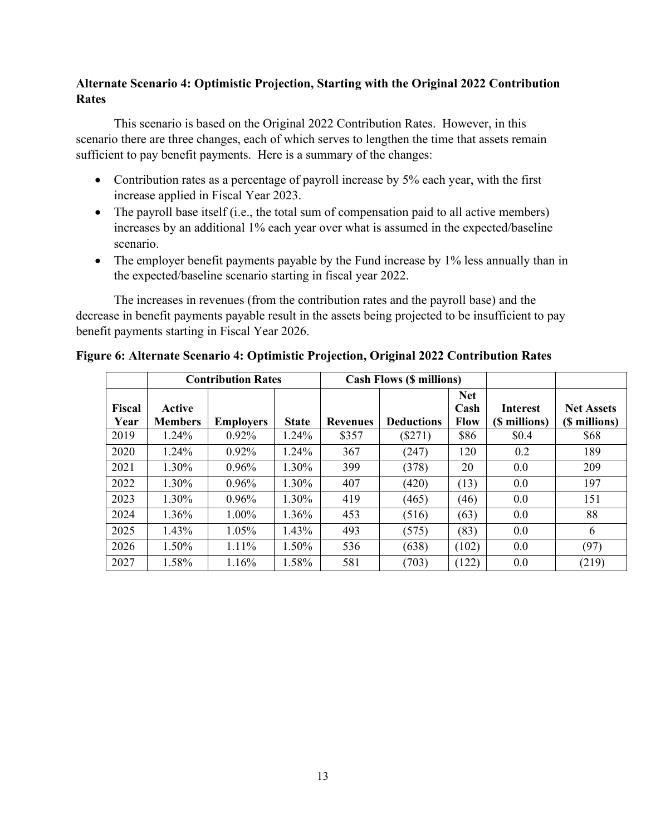# **Alternate Scenario 4: Optimistic Projection, Starting with the Original 2022 Contribution Rates**

This scenario is based on the Original 2022 Contribution Rates. However, in this scenario there are three changes, each of which serves to lengthen the time that assets remain sufficient to pay benefit payments. Here is a summary of the changes:

- Contribution rates as a percentage of payroll increase by 5% each year, with the first increase applied in Fiscal Year 2023.
- The payroll base itself (i.e., the total sum of compensation paid to all active members) increases by an additional 1% each year over what is assumed in the expected/baseline scenario.
- The employer benefit payments payable by the Fund increase by 1% less annually than in the expected/baseline scenario starting in fiscal year 2022.

The increases in revenues (from the contribution rates and the payroll base) and the decrease in benefit payments payable result in the assets being projected to be insufficient to pay benefit payments starting in Fiscal Year 2026.

|                |                          | <b>Contribution Rates</b> |              |                 | <b>Cash Flows (\$ millions)</b> |                                   |                                  |                                    |
|----------------|--------------------------|---------------------------|--------------|-----------------|---------------------------------|-----------------------------------|----------------------------------|------------------------------------|
| Fiscal<br>Year | Active<br><b>Members</b> | <b>Employers</b>          | <b>State</b> | <b>Revenues</b> | <b>Deductions</b>               | <b>Net</b><br>Cash<br><b>Flow</b> | <b>Interest</b><br>(\$ millions) | <b>Net Assets</b><br>(\$ millions) |
| 2019           | 1.24%                    | $0.92\%$                  | 1.24%        | \$357           | $(\$271)$                       | \$86                              | \$0.4                            | \$68                               |
| 2020           | $1.24\%$                 | $0.92\%$                  | 1.24%        | 367             | (247)                           | 120                               | 0.2                              | 189                                |
| 2021           | 1.30%                    | 0.96%                     | 1.30%        | 399             | (378)                           | 20                                | 0.0                              | 209                                |
| 2022           | 1.30%                    | $0.96\%$                  | 1.30%        | 407             | (420)                           | (13)                              | 0.0                              | 197                                |
| 2023           | 1.30%                    | $0.96\%$                  | 1.30%        | 419             | (465)                           | (46)                              | 0.0                              | 151                                |
| 2024           | 1.36%                    | $1.00\%$                  | 1.36%        | 453             | (516)                           | (63)                              | 0.0                              | 88                                 |
| 2025           | $1.43\%$                 | $1.05\%$                  | 1.43%        | 493             | (575)                           | (83)                              | 0.0                              | 6                                  |
| 2026           | $1.50\%$                 | 1.11%                     | 1.50%        | 536             | (638)                           | (102)                             | 0.0                              | (97)                               |
| 2027           | 1.58%                    | 1.16%                     | 1.58%        | 581             | (703)                           | (122)                             | 0.0                              | (219)                              |

#### **Figure 6: Alternate Scenario 4: Optimistic Projection, Original 2022 Contribution Rates**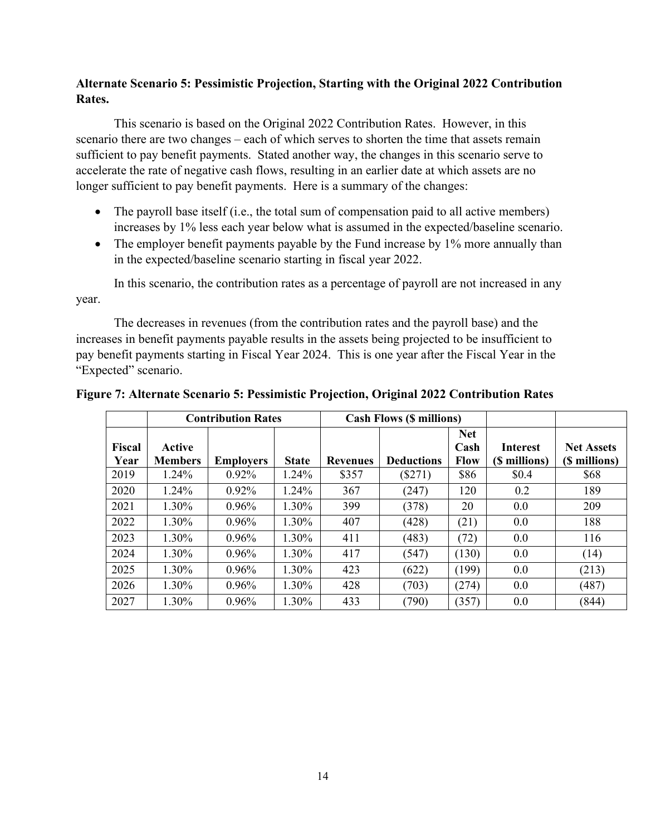# **Alternate Scenario 5: Pessimistic Projection, Starting with the Original 2022 Contribution Rates.**

This scenario is based on the Original 2022 Contribution Rates. However, in this scenario there are two changes – each of which serves to shorten the time that assets remain sufficient to pay benefit payments. Stated another way, the changes in this scenario serve to accelerate the rate of negative cash flows, resulting in an earlier date at which assets are no longer sufficient to pay benefit payments. Here is a summary of the changes:

- The payroll base itself (i.e., the total sum of compensation paid to all active members) increases by 1% less each year below what is assumed in the expected/baseline scenario.
- The employer benefit payments payable by the Fund increase by 1% more annually than in the expected/baseline scenario starting in fiscal year 2022.

In this scenario, the contribution rates as a percentage of payroll are not increased in any year.

The decreases in revenues (from the contribution rates and the payroll base) and the increases in benefit payments payable results in the assets being projected to be insufficient to pay benefit payments starting in Fiscal Year 2024. This is one year after the Fiscal Year in the "Expected" scenario.

|                       |                          | <b>Contribution Rates</b> |              |                 | <b>Cash Flows (\$ millions)</b> |                                   |                                  |                                    |
|-----------------------|--------------------------|---------------------------|--------------|-----------------|---------------------------------|-----------------------------------|----------------------------------|------------------------------------|
| <b>Fiscal</b><br>Year | Active<br><b>Members</b> | <b>Employers</b>          | <b>State</b> | <b>Revenues</b> | <b>Deductions</b>               | <b>Net</b><br>Cash<br><b>Flow</b> | <b>Interest</b><br>(\$ millions) | <b>Net Assets</b><br>(\$ millions) |
| 2019                  | 1.24%                    | $0.92\%$                  | 1.24%        | \$357           | (S271)                          | \$86                              | \$0.4                            | \$68                               |
| 2020                  | 1.24%                    | $0.92\%$                  | 1.24%        | 367             | (247)                           | 120                               | 0.2                              | 189                                |
| 2021                  | 1.30%                    | $0.96\%$                  | 1.30%        | 399             | (378)                           | 20                                | 0.0                              | 209                                |
| 2022                  | 1.30%                    | $0.96\%$                  | 1.30%        | 407             | (428)                           | (21)                              | 0.0                              | 188                                |
| 2023                  | 1.30%                    | $0.96\%$                  | 1.30%        | 411             | (483)                           | (72)                              | 0.0                              | 116                                |
| 2024                  | 1.30%                    | $0.96\%$                  | 1.30%        | 417             | (547)                           | (130)                             | 0.0                              | (14)                               |
| 2025                  | 1.30%                    | $0.96\%$                  | 1.30%        | 423             | (622)                           | (199)                             | 0.0                              | (213)                              |
| 2026                  | 1.30%                    | $0.96\%$                  | 1.30%        | 428             | (703)                           | (274)                             | 0.0                              | (487)                              |
| 2027                  | 1.30%                    | 0.96%                     | 1.30%        | 433             | (790)                           | (357)                             | 0.0                              | (844)                              |

#### **Figure 7: Alternate Scenario 5: Pessimistic Projection, Original 2022 Contribution Rates**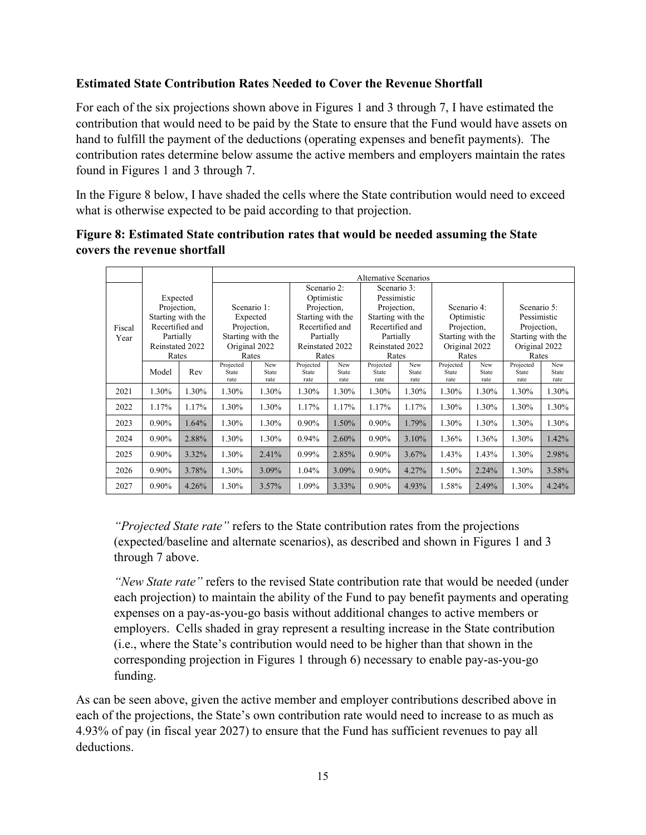# **Estimated State Contribution Rates Needed to Cover the Revenue Shortfall**

For each of the six projections shown above in Figures 1 and 3 through 7, I have estimated the contribution that would need to be paid by the State to ensure that the Fund would have assets on hand to fulfill the payment of the deductions (operating expenses and benefit payments). The contribution rates determine below assume the active members and employers maintain the rates found in Figures 1 and 3 through 7.

In the Figure 8 below, I have shaded the cells where the State contribution would need to exceed what is otherwise expected to be paid according to that projection.

# **Figure 8: Estimated State contribution rates that would be needed assuming the State covers the revenue shortfall**

|        |                   |       |                    |                   |                    |              | <b>Alternative Scenarios</b> |              |                    |              |                    |              |  |
|--------|-------------------|-------|--------------------|-------------------|--------------------|--------------|------------------------------|--------------|--------------------|--------------|--------------------|--------------|--|
|        |                   |       |                    |                   | Scenario 2:        |              | Scenario 3:                  |              |                    |              |                    |              |  |
|        | Expected          |       |                    |                   | Optimistic         |              | Pessimistic                  |              |                    |              |                    |              |  |
|        | Projection,       |       |                    | Scenario 1:       |                    | Projection,  |                              | Projection,  | Scenario 4:        |              |                    | Scenario 5:  |  |
|        | Starting with the |       | Expected           |                   | Starting with the  |              | Starting with the            |              | Optimistic         |              | Pessimistic        |              |  |
| Fiscal | Recertified and   |       | Projection,        |                   | Recertified and    |              | Recertified and              |              | Projection,        |              | Projection,        |              |  |
| Year   | Partially         |       |                    | Starting with the |                    | Partially    |                              | Partially    | Starting with the  |              | Starting with the  |              |  |
|        | Reinstated 2022   |       | Original 2022      |                   | Reinstated 2022    |              | Reinstated 2022              |              | Original 2022      |              | Original 2022      |              |  |
|        | Rates             |       | Rates              |                   | Rates              |              | Rates                        |              | Rates              |              | Rates              |              |  |
|        | Model             | Rev   | Projected<br>State | New<br>State      | Projected<br>State | New<br>State | Projected<br>State           | New<br>State | Projected<br>State | New<br>State | Projected<br>State | New<br>State |  |
|        |                   |       | rate               | rate              | rate               | rate         | rate                         | rate         | rate               | rate         | rate               | rate         |  |
| 2021   | 1.30%             | 1.30% | 1.30%              | 1.30%             | 1.30%              | 1.30%        | 1.30%                        | 1.30%        | 1.30%              | 1.30%        | 1.30%              | 1.30%        |  |
| 2022   | 1.17%             | 1.17% | 1.30%              | 1.30%             | 1.17%              | 1.17%        | 1.17%                        | 1.17%        | 1.30%              | 1.30%        | 1.30%              | 1.30%        |  |
| 2023   | 0.90%             | 1.64% | 1.30%              | 1.30%             | 0.90%              | 1.50%        | $0.90\%$                     | 1.79%        | 1.30%              | 1.30%        | 1.30%              | 1.30%        |  |
| 2024   | 0.90%             | 2.88% | 1.30%              | 1.30%             | 0.94%              | 2.60%        | $0.90\%$                     | 3.10%        | 1.36%              | 1.36%        | 1.30%              | 1.42%        |  |
| 2025   | 0.90%             | 3.32% | 1.30%              | 2.41%             | 0.99%              | 2.85%        | $0.90\%$                     | 3.67%        | 1.43%              | 1.43%        | 1.30%              | 2.98%        |  |
| 2026   | 0.90%             | 3.78% | 1.30%              | 3.09%             | 1.04%              | 3.09%        | $0.90\%$                     | 4.27%        | 1.50%              | 2.24%        | 1.30%              | 3.58%        |  |
| 2027   | 0.90%             | 4.26% | 1.30%              | 3.57%             | 1.09%              | 3.33%        | $0.90\%$                     | 4.93%        | 1.58%              | 2.49%        | 1.30%              | 4.24%        |  |

*"Projected State rate"* refers to the State contribution rates from the projections (expected/baseline and alternate scenarios), as described and shown in Figures 1 and 3 through 7 above.

*"New State rate"* refers to the revised State contribution rate that would be needed (under each projection) to maintain the ability of the Fund to pay benefit payments and operating expenses on a pay-as-you-go basis without additional changes to active members or employers. Cells shaded in gray represent a resulting increase in the State contribution (i.e., where the State's contribution would need to be higher than that shown in the corresponding projection in Figures 1 through 6) necessary to enable pay-as-you-go funding.

As can be seen above, given the active member and employer contributions described above in each of the projections, the State's own contribution rate would need to increase to as much as 4.93% of pay (in fiscal year 2027) to ensure that the Fund has sufficient revenues to pay all deductions.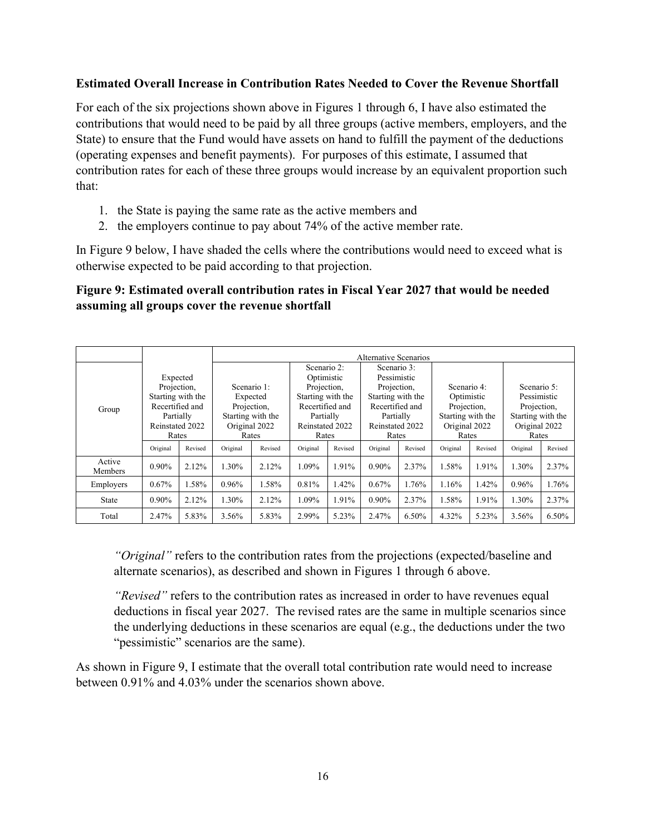### **Estimated Overall Increase in Contribution Rates Needed to Cover the Revenue Shortfall**

For each of the six projections shown above in Figures 1 through 6, I have also estimated the contributions that would need to be paid by all three groups (active members, employers, and the State) to ensure that the Fund would have assets on hand to fulfill the payment of the deductions (operating expenses and benefit payments). For purposes of this estimate, I assumed that contribution rates for each of these three groups would increase by an equivalent proportion such that:

- 1. the State is paying the same rate as the active members and
- 2. the employers continue to pay about 74% of the active member rate.

In Figure 9 below, I have shaded the cells where the contributions would need to exceed what is otherwise expected to be paid according to that projection.

# **Figure 9: Estimated overall contribution rates in Fiscal Year 2027 that would be needed assuming all groups cover the revenue shortfall**

|                   |                                               |         |                   |         |                   |             | Alternative Scenarios |             |                   |         |                   |         |
|-------------------|-----------------------------------------------|---------|-------------------|---------|-------------------|-------------|-----------------------|-------------|-------------------|---------|-------------------|---------|
|                   |                                               |         |                   |         | Scenario 2:       |             | Scenario 3:           |             |                   |         |                   |         |
|                   | Expected                                      |         |                   |         |                   | Optimistic  |                       | Pessimistic |                   |         |                   |         |
|                   | Projection,                                   |         | Scenario 1:       |         |                   | Projection, |                       | Projection, | Scenario 4:       |         | Scenario 5:       |         |
|                   | Starting with the<br>Recertified and<br>Group |         | Expected          |         | Starting with the |             | Starting with the     |             | Optimistic        |         | Pessimistic       |         |
|                   |                                               |         | Projection,       |         | Recertified and   |             | Recertified and       |             | Projection,       |         | Projection,       |         |
|                   | Partially                                     |         | Starting with the |         | Partially         |             | Partially             |             | Starting with the |         | Starting with the |         |
|                   | Reinstated 2022                               |         | Original 2022     |         | Reinstated 2022   |             | Reinstated 2022       |             | Original 2022     |         | Original 2022     |         |
|                   | Rates                                         |         | Rates             |         | Rates             |             | Rates                 |             | Rates             |         | Rates             |         |
|                   | Original                                      | Revised | Original          | Revised | Original          | Revised     | Original              | Revised     | Original          | Revised | Original          | Revised |
| Active<br>Members | $0.90\%$                                      | 2.12%   | 1.30%             | 2.12%   | 1.09%             | 1.91%       | $0.90\%$              | 2.37%       | 1.58%             | 1.91%   | 1.30%             | 2.37%   |
| Employers         | 0.67%                                         | 1.58%   | 0.96%             | 1.58%   | 0.81%             | 1.42%       | 0.67%                 | 1.76%       | 1.16%             | 1.42%   | 0.96%             | 1.76%   |
| State             | $0.90\%$                                      | 2.12%   | 1.30%             | 2.12%   | 1.09%             | 1.91%       | $0.90\%$              | 2.37%       | 1.58%             | 1.91%   | 1.30%             | 2.37%   |
| Total             | 2.47%                                         | 5.83%   | 3.56%             | 5.83%   | 2.99%             | 5.23%       | 2.47%                 | 6.50%       | 4.32%             | 5.23%   | 3.56%             | 6.50%   |

*"Original"* refers to the contribution rates from the projections (expected/baseline and alternate scenarios), as described and shown in Figures 1 through 6 above.

*"Revised"* refers to the contribution rates as increased in order to have revenues equal deductions in fiscal year 2027. The revised rates are the same in multiple scenarios since the underlying deductions in these scenarios are equal (e.g., the deductions under the two "pessimistic" scenarios are the same).

As shown in Figure 9, I estimate that the overall total contribution rate would need to increase between 0.91% and 4.03% under the scenarios shown above.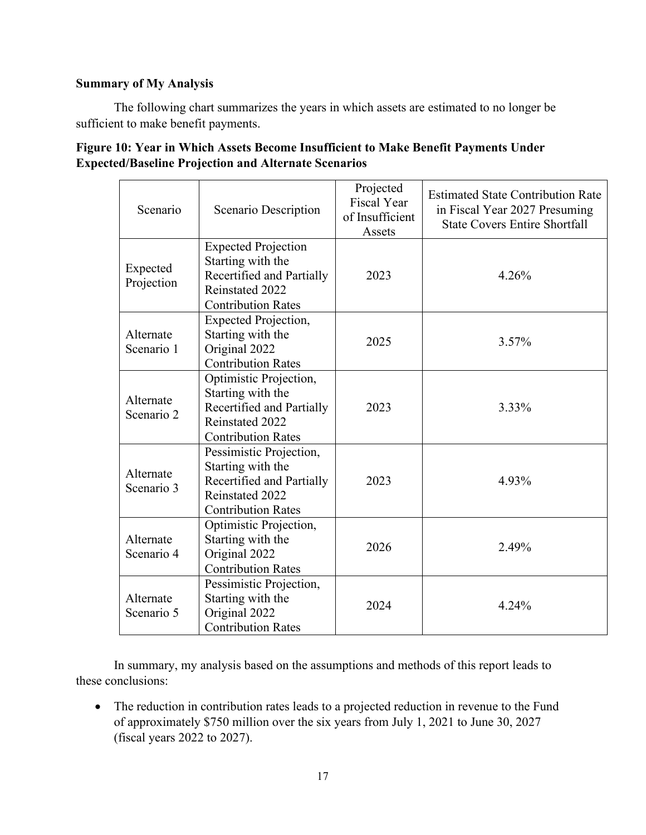# **Summary of My Analysis**

The following chart summarizes the years in which assets are estimated to no longer be sufficient to make benefit payments.

| Scenario   | Scenario Description        | Projected<br><b>Fiscal Year</b><br>of Insufficient<br>Assets | <b>Estimated State Contribution Rate</b><br>in Fiscal Year 2027 Presuming<br><b>State Covers Entire Shortfall</b> |  |  |
|------------|-----------------------------|--------------------------------------------------------------|-------------------------------------------------------------------------------------------------------------------|--|--|
|            | <b>Expected Projection</b>  |                                                              |                                                                                                                   |  |  |
| Expected   | Starting with the           |                                                              |                                                                                                                   |  |  |
| Projection | Recertified and Partially   | 2023                                                         | 4.26%                                                                                                             |  |  |
|            | Reinstated 2022             |                                                              |                                                                                                                   |  |  |
|            | <b>Contribution Rates</b>   |                                                              |                                                                                                                   |  |  |
|            | <b>Expected Projection,</b> |                                                              |                                                                                                                   |  |  |
| Alternate  | Starting with the           | 2025                                                         | 3.57%                                                                                                             |  |  |
| Scenario 1 | Original 2022               |                                                              |                                                                                                                   |  |  |
|            | <b>Contribution Rates</b>   |                                                              |                                                                                                                   |  |  |
|            | Optimistic Projection,      |                                                              |                                                                                                                   |  |  |
| Alternate  | Starting with the           |                                                              |                                                                                                                   |  |  |
| Scenario 2 | Recertified and Partially   | 2023                                                         | 3.33%                                                                                                             |  |  |
|            | Reinstated 2022             |                                                              |                                                                                                                   |  |  |
|            | <b>Contribution Rates</b>   |                                                              |                                                                                                                   |  |  |
|            | Pessimistic Projection,     |                                                              |                                                                                                                   |  |  |
| Alternate  | Starting with the           |                                                              |                                                                                                                   |  |  |
| Scenario 3 | Recertified and Partially   | 2023                                                         | 4.93%                                                                                                             |  |  |
|            | Reinstated 2022             |                                                              |                                                                                                                   |  |  |
|            | <b>Contribution Rates</b>   |                                                              |                                                                                                                   |  |  |
|            | Optimistic Projection,      |                                                              |                                                                                                                   |  |  |
| Alternate  | Starting with the           | 2026                                                         | 2.49%                                                                                                             |  |  |
| Scenario 4 | Original 2022               |                                                              |                                                                                                                   |  |  |
|            | <b>Contribution Rates</b>   |                                                              |                                                                                                                   |  |  |
|            | Pessimistic Projection,     |                                                              |                                                                                                                   |  |  |
| Alternate  | Starting with the           |                                                              |                                                                                                                   |  |  |
| Scenario 5 | Original 2022               | 2024                                                         | 4.24%                                                                                                             |  |  |
|            | <b>Contribution Rates</b>   |                                                              |                                                                                                                   |  |  |

| Figure 10: Year in Which Assets Become Insufficient to Make Benefit Payments Under |
|------------------------------------------------------------------------------------|
| <b>Expected/Baseline Projection and Alternate Scenarios</b>                        |

In summary, my analysis based on the assumptions and methods of this report leads to these conclusions:

• The reduction in contribution rates leads to a projected reduction in revenue to the Fund of approximately \$750 million over the six years from July 1, 2021 to June 30, 2027 (fiscal years 2022 to 2027).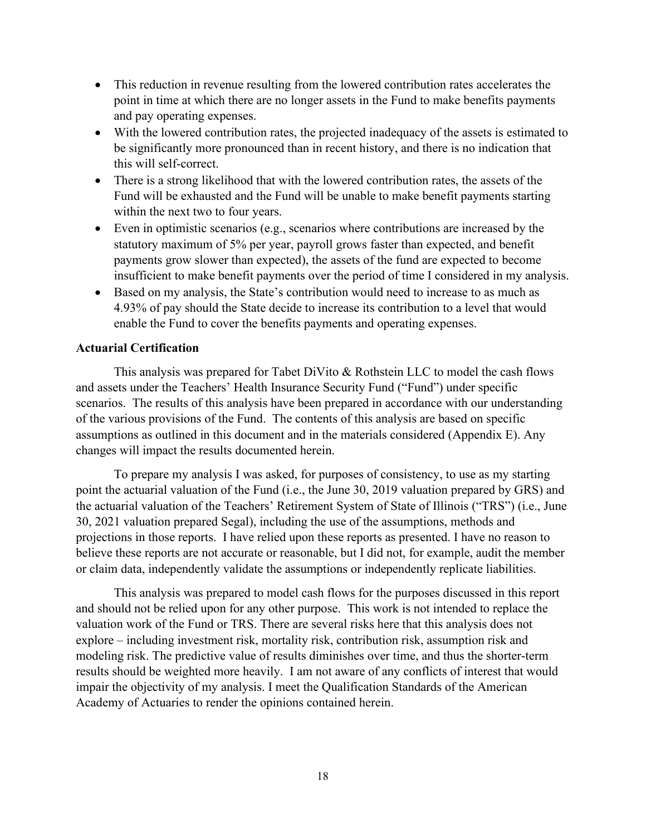- This reduction in revenue resulting from the lowered contribution rates accelerates the point in time at which there are no longer assets in the Fund to make benefits payments and pay operating expenses.
- With the lowered contribution rates, the projected inadequacy of the assets is estimated to be significantly more pronounced than in recent history, and there is no indication that this will self-correct.
- There is a strong likelihood that with the lowered contribution rates, the assets of the Fund will be exhausted and the Fund will be unable to make benefit payments starting within the next two to four years.
- Even in optimistic scenarios (e.g., scenarios where contributions are increased by the statutory maximum of 5% per year, payroll grows faster than expected, and benefit payments grow slower than expected), the assets of the fund are expected to become insufficient to make benefit payments over the period of time I considered in my analysis.
- Based on my analysis, the State's contribution would need to increase to as much as 4.93% of pay should the State decide to increase its contribution to a level that would enable the Fund to cover the benefits payments and operating expenses.

#### **Actuarial Certification**

This analysis was prepared for Tabet DiVito & Rothstein LLC to model the cash flows and assets under the Teachers' Health Insurance Security Fund ("Fund") under specific scenarios. The results of this analysis have been prepared in accordance with our understanding of the various provisions of the Fund. The contents of this analysis are based on specific assumptions as outlined in this document and in the materials considered (Appendix E). Any changes will impact the results documented herein.

To prepare my analysis I was asked, for purposes of consistency, to use as my starting point the actuarial valuation of the Fund (i.e., the June 30, 2019 valuation prepared by GRS) and the actuarial valuation of the Teachers' Retirement System of State of Illinois ("TRS") (i.e., June 30, 2021 valuation prepared Segal), including the use of the assumptions, methods and projections in those reports. I have relied upon these reports as presented. I have no reason to believe these reports are not accurate or reasonable, but I did not, for example, audit the member or claim data, independently validate the assumptions or independently replicate liabilities.

This analysis was prepared to model cash flows for the purposes discussed in this report and should not be relied upon for any other purpose. This work is not intended to replace the valuation work of the Fund or TRS. There are several risks here that this analysis does not explore – including investment risk, mortality risk, contribution risk, assumption risk and modeling risk. The predictive value of results diminishes over time, and thus the shorter-term results should be weighted more heavily. I am not aware of any conflicts of interest that would impair the objectivity of my analysis. I meet the Qualification Standards of the American Academy of Actuaries to render the opinions contained herein.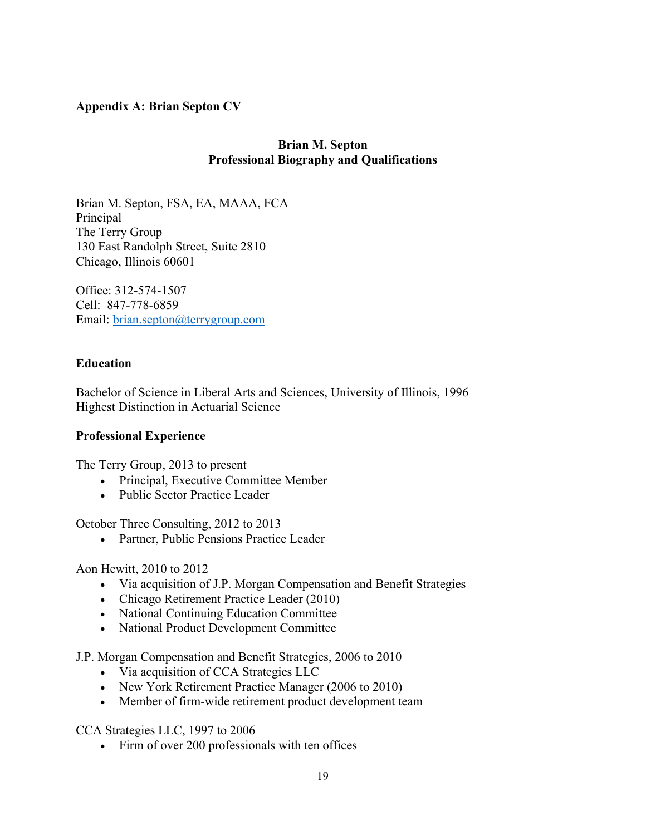### **Appendix A: Brian Septon CV**

### **Brian M. Septon Professional Biography and Qualifications**

Brian M. Septon, FSA, EA, MAAA, FCA Principal The Terry Group 130 East Randolph Street, Suite 2810 Chicago, Illinois 60601

Office: 312-574-1507 Cell: 847-778-6859 Email: [brian.septon@terrygroup.com](mailto:brian.septon@terrygroup.com)

# **Education**

Bachelor of Science in Liberal Arts and Sciences, University of Illinois, 1996 Highest Distinction in Actuarial Science

# **Professional Experience**

The Terry Group, 2013 to present

- Principal, Executive Committee Member
- Public Sector Practice Leader

October Three Consulting, 2012 to 2013

• Partner, Public Pensions Practice Leader

Aon Hewitt, 2010 to 2012

- Via acquisition of J.P. Morgan Compensation and Benefit Strategies
- Chicago Retirement Practice Leader (2010)
- National Continuing Education Committee
- National Product Development Committee

J.P. Morgan Compensation and Benefit Strategies, 2006 to 2010

- Via acquisition of CCA Strategies LLC
- New York Retirement Practice Manager (2006 to 2010)
- Member of firm-wide retirement product development team

CCA Strategies LLC, 1997 to 2006

• Firm of over 200 professionals with ten offices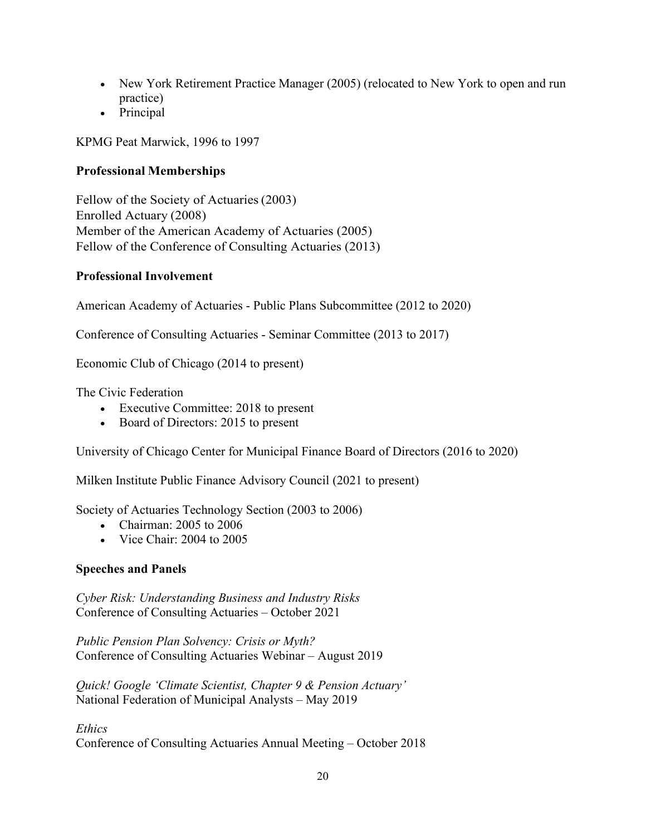- New York Retirement Practice Manager (2005) (relocated to New York to open and run practice)
- Principal

KPMG Peat Marwick, 1996 to 1997

# **Professional Memberships**

Fellow of the Society of Actuaries(2003) Enrolled Actuary (2008) Member of the American Academy of Actuaries (2005) Fellow of the Conference of Consulting Actuaries (2013)

#### **Professional Involvement**

American Academy of Actuaries - Public Plans Subcommittee (2012 to 2020)

Conference of Consulting Actuaries - Seminar Committee (2013 to 2017)

Economic Club of Chicago (2014 to present)

The Civic Federation

- Executive Committee: 2018 to present
- Board of Directors: 2015 to present

University of Chicago Center for Municipal Finance Board of Directors (2016 to 2020)

Milken Institute Public Finance Advisory Council (2021 to present)

Society of Actuaries Technology Section (2003 to 2006)

- Chairman: 2005 to 2006
- Vice Chair: 2004 to 2005

# **Speeches and Panels**

*Cyber Risk: Understanding Business and Industry Risks* Conference of Consulting Actuaries – October 2021

*Public Pension Plan Solvency: Crisis or Myth?* Conference of Consulting Actuaries Webinar – August 2019

*Quick! Google 'Climate Scientist, Chapter 9 & Pension Actuary'* National Federation of Municipal Analysts – May 2019

*Ethics*

Conference of Consulting Actuaries Annual Meeting – October 2018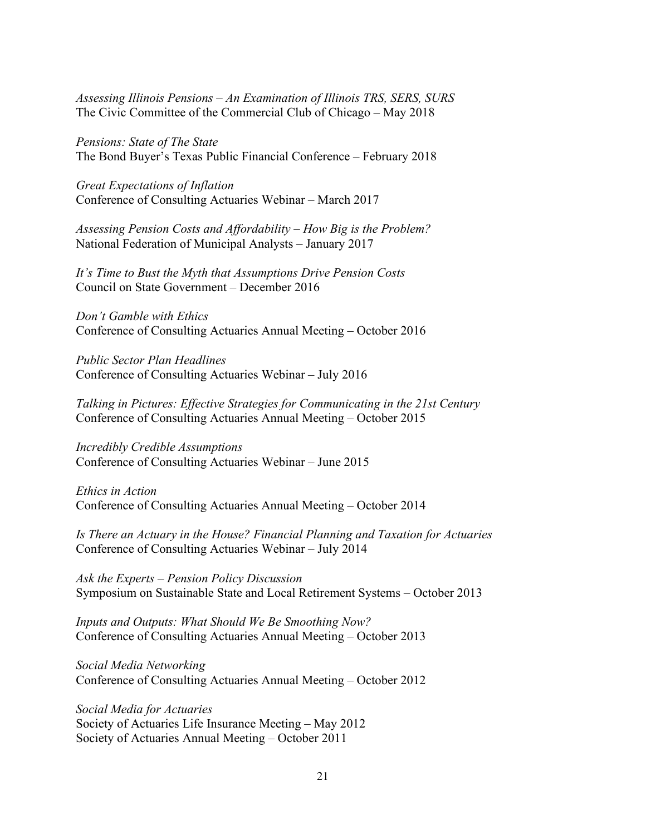*Assessing Illinois Pensions – An Examination of Illinois TRS, SERS, SURS* The Civic Committee of the Commercial Club of Chicago – May 2018

*Pensions: State of The State* The Bond Buyer's Texas Public Financial Conference – February 2018

*Great Expectations of Inflation* Conference of Consulting Actuaries Webinar – March 2017

*Assessing Pension Costs and Affordability – How Big is the Problem?* National Federation of Municipal Analysts – January 2017

*It's Time to Bust the Myth that Assumptions Drive Pension Costs* Council on State Government – December 2016

*Don't Gamble with Ethics* Conference of Consulting Actuaries Annual Meeting – October 2016

*Public Sector Plan Headlines* Conference of Consulting Actuaries Webinar – July 2016

*Talking in Pictures: Effective Strategies for Communicating in the 21st Century* Conference of Consulting Actuaries Annual Meeting – October 2015

*Incredibly Credible Assumptions* Conference of Consulting Actuaries Webinar – June 2015

*Ethics in Action*  Conference of Consulting Actuaries Annual Meeting – October 2014

*Is There an Actuary in the House? Financial Planning and Taxation for Actuaries* Conference of Consulting Actuaries Webinar – July 2014

*Ask the Experts – Pension Policy Discussion* Symposium on Sustainable State and Local Retirement Systems – October 2013

*Inputs and Outputs: What Should We Be Smoothing Now?* Conference of Consulting Actuaries Annual Meeting – October 2013

*Social Media Networking* Conference of Consulting Actuaries Annual Meeting – October 2012

*Social Media for Actuaries* Society of Actuaries Life Insurance Meeting – May 2012 Society of Actuaries Annual Meeting – October 2011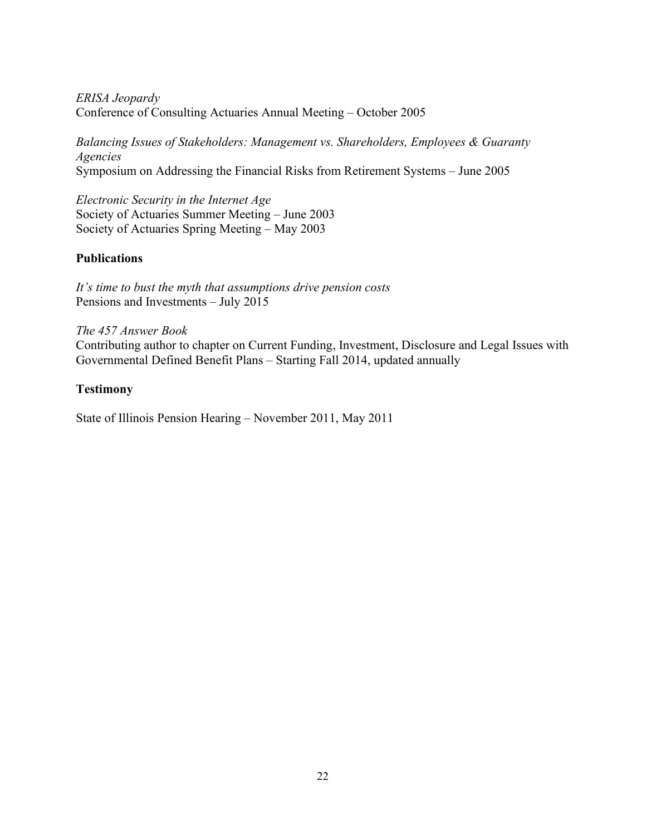*ERISA Jeopardy* Conference of Consulting Actuaries Annual Meeting – October 2005

*Balancing Issues of Stakeholders: Management vs. Shareholders, Employees & Guaranty Agencies* Symposium on Addressing the Financial Risks from Retirement Systems – June 2005

*Electronic Security in the Internet Age* Society of Actuaries Summer Meeting – June 2003 Society of Actuaries Spring Meeting – May 2003

# **Publications**

*It's time to bust the myth that assumptions drive pension costs* Pensions and Investments – July 2015

*The 457 Answer Book* Contributing author to chapter on Current Funding, Investment, Disclosure and Legal Issues with Governmental Defined Benefit Plans – Starting Fall 2014, updated annually

### **Testimony**

State of Illinois Pension Hearing – November 2011, May 2011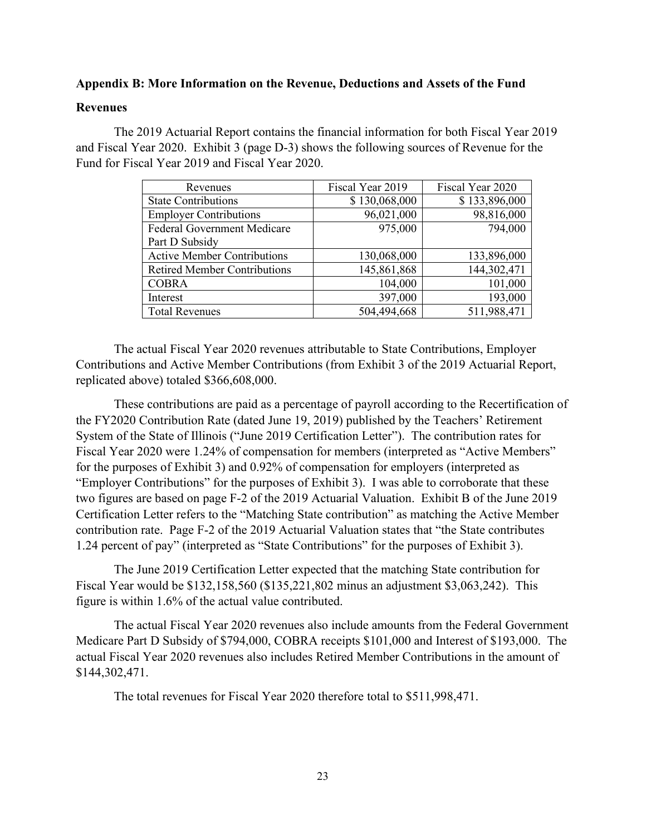#### **Appendix B: More Information on the Revenue, Deductions and Assets of the Fund**

#### **Revenues**

The 2019 Actuarial Report contains the financial information for both Fiscal Year 2019 and Fiscal Year 2020. Exhibit 3 (page D-3) shows the following sources of Revenue for the Fund for Fiscal Year 2019 and Fiscal Year 2020.

| Revenues                            | Fiscal Year 2019 | Fiscal Year 2020 |
|-------------------------------------|------------------|------------------|
| <b>State Contributions</b>          | \$130,068,000    | \$133,896,000    |
| <b>Employer Contributions</b>       | 96,021,000       | 98,816,000       |
| <b>Federal Government Medicare</b>  | 975,000          | 794,000          |
| Part D Subsidy                      |                  |                  |
| <b>Active Member Contributions</b>  | 130,068,000      | 133,896,000      |
| <b>Retired Member Contributions</b> | 145,861,868      | 144,302,471      |
| <b>COBRA</b>                        | 104,000          | 101,000          |
| Interest                            | 397,000          | 193,000          |
| <b>Total Revenues</b>               | 504,494,668      | 511,988,471      |

The actual Fiscal Year 2020 revenues attributable to State Contributions, Employer Contributions and Active Member Contributions (from Exhibit 3 of the 2019 Actuarial Report, replicated above) totaled \$366,608,000.

These contributions are paid as a percentage of payroll according to the Recertification of the FY2020 Contribution Rate (dated June 19, 2019) published by the Teachers' Retirement System of the State of Illinois ("June 2019 Certification Letter"). The contribution rates for Fiscal Year 2020 were 1.24% of compensation for members (interpreted as "Active Members" for the purposes of Exhibit 3) and 0.92% of compensation for employers (interpreted as "Employer Contributions" for the purposes of Exhibit 3). I was able to corroborate that these two figures are based on page F-2 of the 2019 Actuarial Valuation. Exhibit B of the June 2019 Certification Letter refers to the "Matching State contribution" as matching the Active Member contribution rate. Page F-2 of the 2019 Actuarial Valuation states that "the State contributes 1.24 percent of pay" (interpreted as "State Contributions" for the purposes of Exhibit 3).

The June 2019 Certification Letter expected that the matching State contribution for Fiscal Year would be \$132,158,560 (\$135,221,802 minus an adjustment \$3,063,242). This figure is within 1.6% of the actual value contributed.

The actual Fiscal Year 2020 revenues also include amounts from the Federal Government Medicare Part D Subsidy of \$794,000, COBRA receipts \$101,000 and Interest of \$193,000. The actual Fiscal Year 2020 revenues also includes Retired Member Contributions in the amount of \$144,302,471.

The total revenues for Fiscal Year 2020 therefore total to \$511,998,471.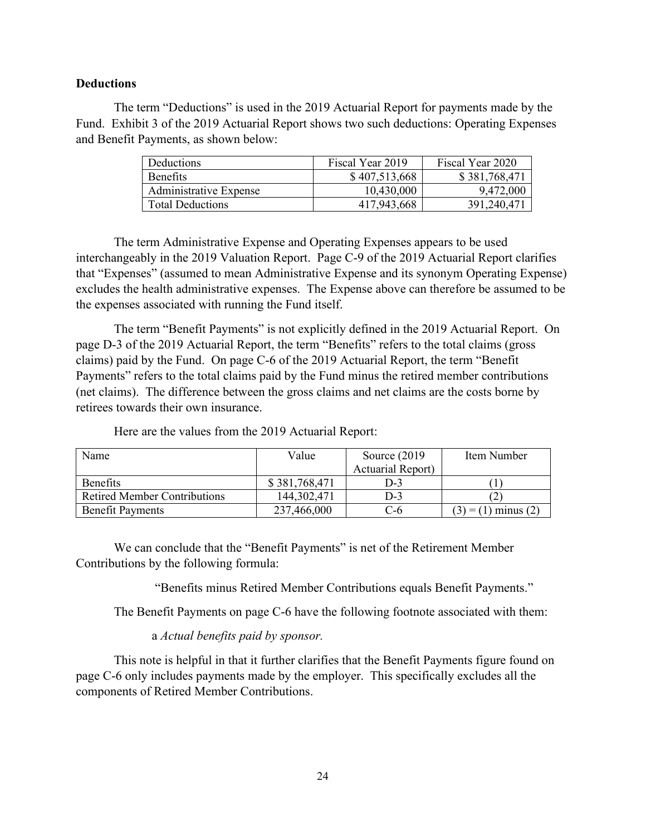#### **Deductions**

The term "Deductions" is used in the 2019 Actuarial Report for payments made by the Fund. Exhibit 3 of the 2019 Actuarial Report shows two such deductions: Operating Expenses and Benefit Payments, as shown below:

| <b>Deductions</b>             | Fiscal Year 2019 | Fiscal Year 2020 |
|-------------------------------|------------------|------------------|
| <b>Benefits</b>               | \$407,513,668    | \$381,768,471    |
| <b>Administrative Expense</b> | 10,430,000       | 9,472,000        |
| <b>Total Deductions</b>       | 417,943,668      | 391,240,471      |

The term Administrative Expense and Operating Expenses appears to be used interchangeably in the 2019 Valuation Report. Page C-9 of the 2019 Actuarial Report clarifies that "Expenses" (assumed to mean Administrative Expense and its synonym Operating Expense) excludes the health administrative expenses. The Expense above can therefore be assumed to be the expenses associated with running the Fund itself.

The term "Benefit Payments" is not explicitly defined in the 2019 Actuarial Report. On page D-3 of the 2019 Actuarial Report, the term "Benefits" refers to the total claims (gross claims) paid by the Fund. On page C-6 of the 2019 Actuarial Report, the term "Benefit Payments" refers to the total claims paid by the Fund minus the retired member contributions (net claims). The difference between the gross claims and net claims are the costs borne by retirees towards their own insurance.

| Name                                | Value         | Source $(2019)$          | Item Number         |
|-------------------------------------|---------------|--------------------------|---------------------|
|                                     |               | <b>Actuarial Report)</b> |                     |
| <b>Benefits</b>                     | \$381,768,471 | $D-3$                    |                     |
| <b>Retired Member Contributions</b> | 144,302,471   | D-3                      |                     |
| <b>Benefit Payments</b>             | 237,466,000   | ს-6                      | $= (1)$ minus $(2)$ |

Here are the values from the 2019 Actuarial Report:

We can conclude that the "Benefit Payments" is net of the Retirement Member Contributions by the following formula:

"Benefits minus Retired Member Contributions equals Benefit Payments."

The Benefit Payments on page C-6 have the following footnote associated with them:

#### a *Actual benefits paid by sponsor.*

This note is helpful in that it further clarifies that the Benefit Payments figure found on page C-6 only includes payments made by the employer. This specifically excludes all the components of Retired Member Contributions.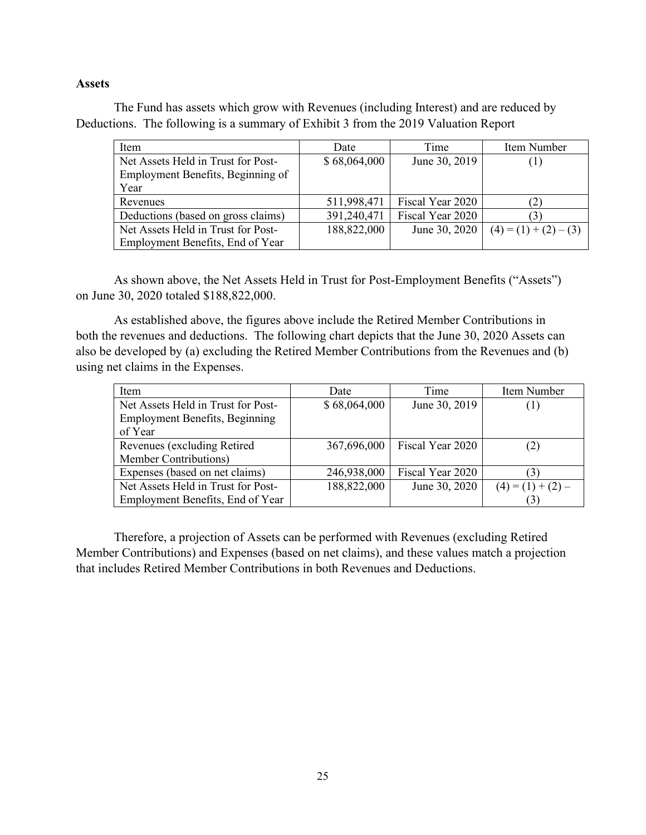#### **Assets**

The Fund has assets which grow with Revenues (including Interest) and are reduced by Deductions. The following is a summary of Exhibit 3 from the 2019 Valuation Report

| Item                               | Time<br>Date |                  | Item Number             |  |
|------------------------------------|--------------|------------------|-------------------------|--|
| Net Assets Held in Trust for Post- | \$68,064,000 | June 30, 2019    | (1)                     |  |
| Employment Benefits, Beginning of  |              |                  |                         |  |
| Year                               |              |                  |                         |  |
| Revenues                           | 511,998,471  | Fiscal Year 2020 | (2)                     |  |
| Deductions (based on gross claims) | 391,240,471  | Fiscal Year 2020 | (3)                     |  |
| Net Assets Held in Trust for Post- | 188,822,000  | June 30, 2020    | $(4) = (1) + (2) - (3)$ |  |
| Employment Benefits, End of Year   |              |                  |                         |  |

As shown above, the Net Assets Held in Trust for Post-Employment Benefits ("Assets") on June 30, 2020 totaled \$188,822,000.

As established above, the figures above include the Retired Member Contributions in both the revenues and deductions. The following chart depicts that the June 30, 2020 Assets can also be developed by (a) excluding the Retired Member Contributions from the Revenues and (b) using net claims in the Expenses.

| Item                                  | Date         | Time             | Item Number         |  |
|---------------------------------------|--------------|------------------|---------------------|--|
| Net Assets Held in Trust for Post-    | \$68,064,000 | June 30, 2019    | (1)                 |  |
| <b>Employment Benefits, Beginning</b> |              |                  |                     |  |
| of Year                               |              |                  |                     |  |
| Revenues (excluding Retired           | 367,696,000  | Fiscal Year 2020 | (2)                 |  |
| Member Contributions)                 |              |                  |                     |  |
| Expenses (based on net claims)        | 246,938,000  | Fiscal Year 2020 | (3)                 |  |
| Net Assets Held in Trust for Post-    | 188,822,000  | June 30, 2020    | $(4) = (1) + (2) -$ |  |
| Employment Benefits, End of Year      |              |                  | (3)                 |  |

Therefore, a projection of Assets can be performed with Revenues (excluding Retired Member Contributions) and Expenses (based on net claims), and these values match a projection that includes Retired Member Contributions in both Revenues and Deductions.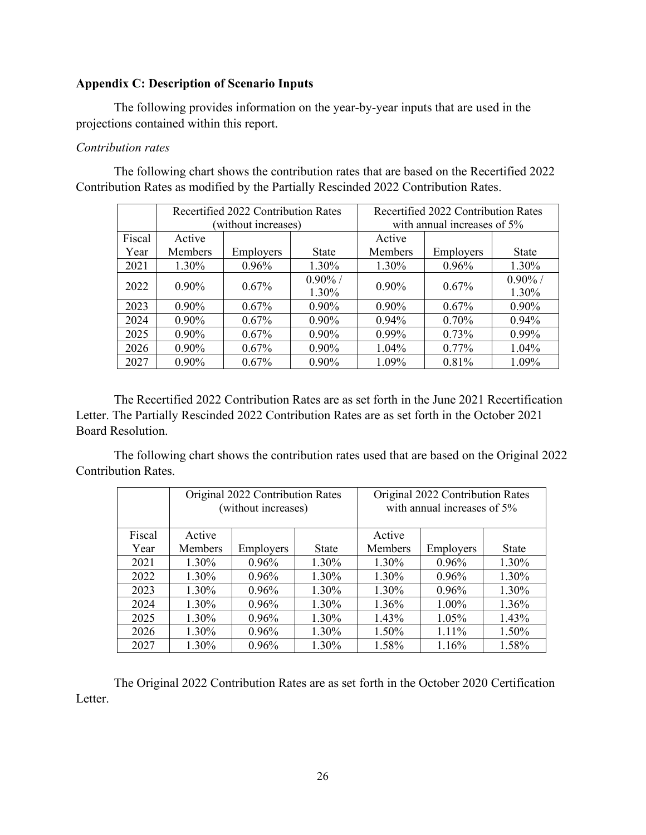#### **Appendix C: Description of Scenario Inputs**

The following provides information on the year-by-year inputs that are used in the projections contained within this report.

### *Contribution rates*

The following chart shows the contribution rates that are based on the Recertified 2022 Contribution Rates as modified by the Partially Rescinded 2022 Contribution Rates.

|        |                | Recertified 2022 Contribution Rates |              | Recertified 2022 Contribution Rates |           |              |  |  |  |  |
|--------|----------------|-------------------------------------|--------------|-------------------------------------|-----------|--------------|--|--|--|--|
|        |                | (without increases)                 |              | with annual increases of 5%         |           |              |  |  |  |  |
| Fiscal | Active         |                                     |              | Active                              |           |              |  |  |  |  |
| Year   | <b>Members</b> | Employers                           | <b>State</b> | <b>Members</b>                      | Employers | <b>State</b> |  |  |  |  |
| 2021   | 1.30%          | $0.96\%$                            | 1.30%        | 1.30%                               | 0.96%     | 1.30%        |  |  |  |  |
| 2022   | $0.90\%$       | $0.67\%$                            |              | $0.90\%$                            | $0.67\%$  | $0.90\%$ /   |  |  |  |  |
|        |                |                                     | 1.30%        |                                     |           | 1.30%        |  |  |  |  |
| 2023   | $0.90\%$       | $0.67\%$                            | $0.90\%$     | $0.90\%$                            | 0.67%     | $0.90\%$     |  |  |  |  |
| 2024   | $0.90\%$       | $0.67\%$                            | $0.90\%$     | $0.94\%$                            | 0.70%     | 0.94%        |  |  |  |  |
| 2025   | $0.90\%$       | $0.67\%$                            | $0.90\%$     | $0.99\%$                            | 0.73%     | $0.99\%$     |  |  |  |  |
| 2026   | $0.90\%$       | $0.67\%$                            | $0.90\%$     | $1.04\%$                            | $0.77\%$  | 1.04%        |  |  |  |  |
| 2027   | $0.90\%$       | $0.67\%$                            | $0.90\%$     | 0.81%<br>1.09%                      |           |              |  |  |  |  |

The Recertified 2022 Contribution Rates are as set forth in the June 2021 Recertification Letter. The Partially Rescinded 2022 Contribution Rates are as set forth in the October 2021 Board Resolution.

The following chart shows the contribution rates used that are based on the Original 2022 Contribution Rates.

|        |                | Original 2022 Contribution Rates<br>(without increases) |              | Original 2022 Contribution Rates<br>with annual increases of 5% |           |       |  |  |
|--------|----------------|---------------------------------------------------------|--------------|-----------------------------------------------------------------|-----------|-------|--|--|
| Fiscal | Active         |                                                         |              | Active                                                          |           |       |  |  |
| Year   | Members        | Employers                                               | <b>State</b> | Members                                                         | Employers | State |  |  |
| 2021   | 1.30%          | 0.96%                                                   | 1.30%        | 1.30%                                                           | 0.96%     | 1.30% |  |  |
| 2022   | 1.30%          | 0.96%                                                   | 1.30%        | 1.30%                                                           | 0.96%     | 1.30% |  |  |
| 2023   | 1.30%          | $0.96\%$                                                | 1.30%        | 1.30%                                                           | 0.96%     | 1.30% |  |  |
| 2024   | 1.30%<br>0.96% |                                                         | 1.30%        | 1.36%                                                           | 1.00%     | 1.36% |  |  |
| 2025   | 1.30%<br>0.96% |                                                         | 1.30%        | 1.43%                                                           | 1.05%     | 1.43% |  |  |
| 2026   | 1.30%          | 0.96%                                                   | 1.30%        | 1.50%                                                           | 1.11%     | 1.50% |  |  |
| 2027   | 1.30%          | $0.96\%$                                                | 1.30%        | 1.58%                                                           | 1.16%     | 1.58% |  |  |

The Original 2022 Contribution Rates are as set forth in the October 2020 Certification Letter.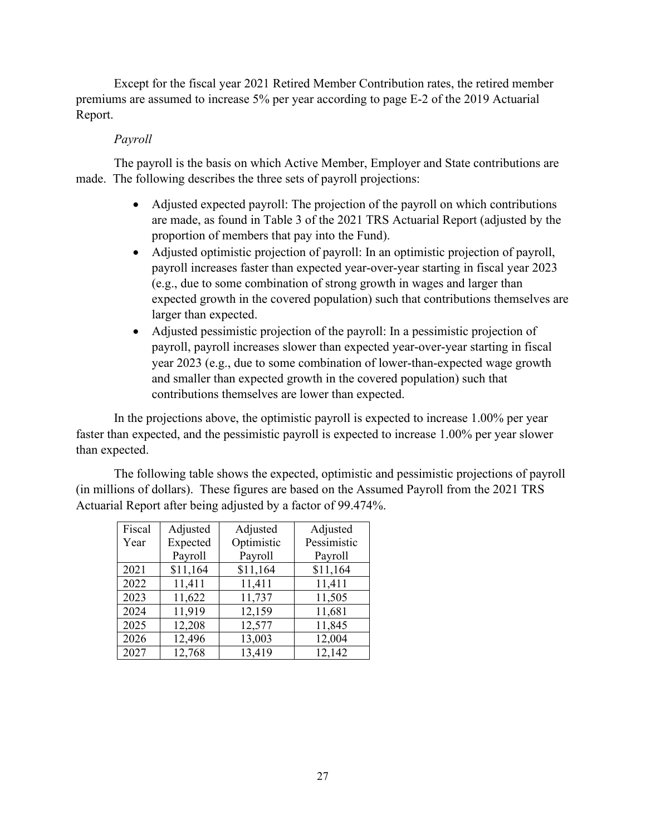Except for the fiscal year 2021 Retired Member Contribution rates, the retired member premiums are assumed to increase 5% per year according to page E-2 of the 2019 Actuarial Report.

### *Payroll*

The payroll is the basis on which Active Member, Employer and State contributions are made. The following describes the three sets of payroll projections:

- Adjusted expected payroll: The projection of the payroll on which contributions are made, as found in Table 3 of the 2021 TRS Actuarial Report (adjusted by the proportion of members that pay into the Fund).
- Adjusted optimistic projection of payroll: In an optimistic projection of payroll, payroll increases faster than expected year-over-year starting in fiscal year 2023 (e.g., due to some combination of strong growth in wages and larger than expected growth in the covered population) such that contributions themselves are larger than expected.
- Adjusted pessimistic projection of the payroll: In a pessimistic projection of payroll, payroll increases slower than expected year-over-year starting in fiscal year 2023 (e.g., due to some combination of lower-than-expected wage growth and smaller than expected growth in the covered population) such that contributions themselves are lower than expected.

In the projections above, the optimistic payroll is expected to increase 1.00% per year faster than expected, and the pessimistic payroll is expected to increase 1.00% per year slower than expected.

The following table shows the expected, optimistic and pessimistic projections of payroll (in millions of dollars). These figures are based on the Assumed Payroll from the 2021 TRS Actuarial Report after being adjusted by a factor of 99.474%.

| Fiscal | Adjusted | Adjusted   | Adjusted    |
|--------|----------|------------|-------------|
| Year   | Expected | Optimistic | Pessimistic |
|        | Payroll  | Payroll    | Payroll     |
| 2021   | \$11,164 | \$11,164   | \$11,164    |
| 2022   | 11,411   | 11,411     | 11,411      |
| 2023   | 11,622   | 11,737     | 11,505      |
| 2024   | 11,919   | 12,159     | 11,681      |
| 2025   | 12,208   | 12,577     | 11,845      |
| 2026   | 12,496   | 13,003     | 12,004      |
| 2027   | 12,768   | 13,419     | 12,142      |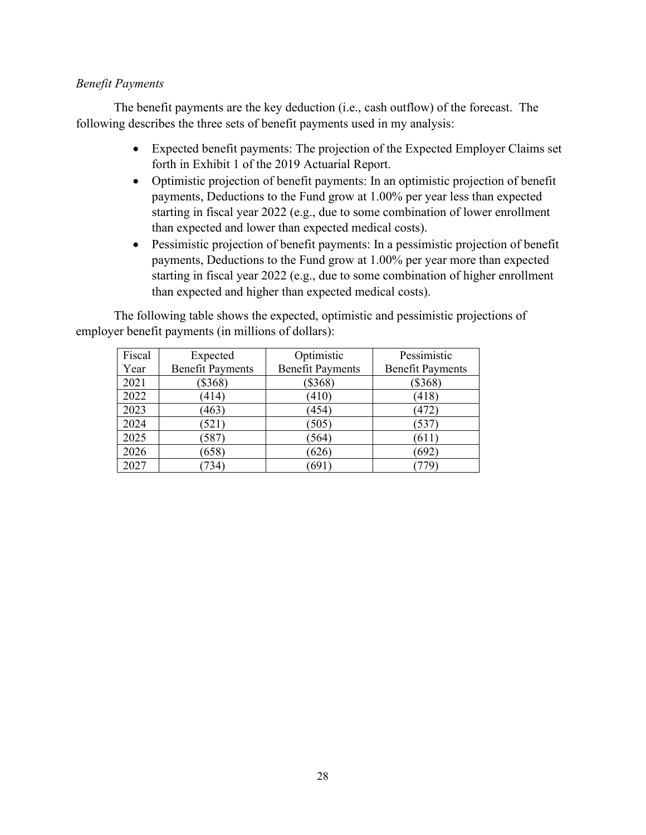### *Benefit Payments*

The benefit payments are the key deduction (i.e., cash outflow) of the forecast. The following describes the three sets of benefit payments used in my analysis:

- Expected benefit payments: The projection of the Expected Employer Claims set forth in Exhibit 1 of the 2019 Actuarial Report.
- Optimistic projection of benefit payments: In an optimistic projection of benefit payments, Deductions to the Fund grow at 1.00% per year less than expected starting in fiscal year 2022 (e.g., due to some combination of lower enrollment than expected and lower than expected medical costs).
- Pessimistic projection of benefit payments: In a pessimistic projection of benefit payments, Deductions to the Fund grow at 1.00% per year more than expected starting in fiscal year 2022 (e.g., due to some combination of higher enrollment than expected and higher than expected medical costs).

The following table shows the expected, optimistic and pessimistic projections of employer benefit payments (in millions of dollars):

| Fiscal | Expected                | Optimistic              | Pessimistic             |
|--------|-------------------------|-------------------------|-------------------------|
| Year   | <b>Benefit Payments</b> | <b>Benefit Payments</b> | <b>Benefit Payments</b> |
| 2021   | $(\$368)$               | $(\$368)$               | $(\$368)$               |
| 2022   | (414)                   | (410)                   | (418)                   |
| 2023   | (463)                   | (454)                   | (472)                   |
| 2024   | (521)                   | (505)                   | (537)                   |
| 2025   | (587)                   | (564)                   | (611)                   |
| 2026   | (658)                   | (626)                   | (692)                   |
| 2027   | 734`                    | (691)                   |                         |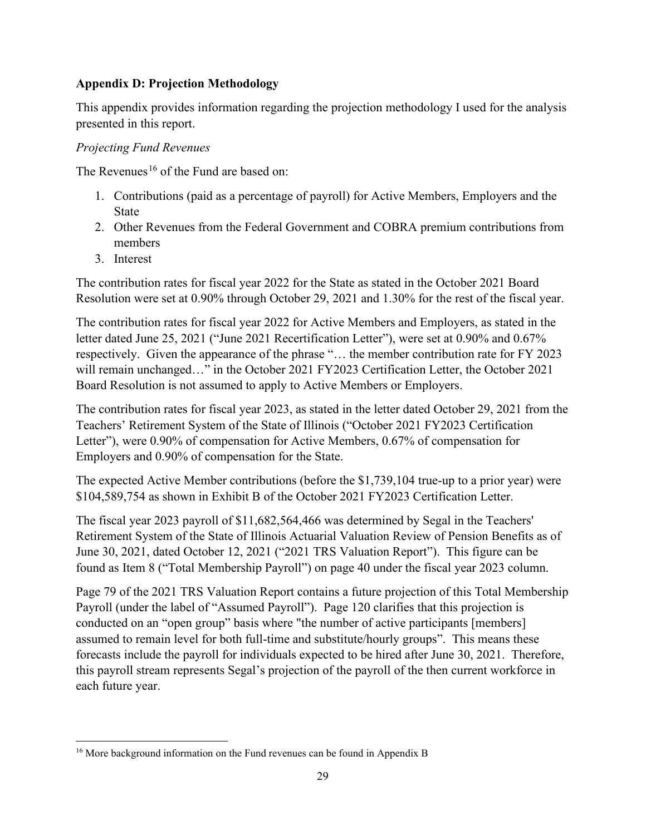# **Appendix D: Projection Methodology**

This appendix provides information regarding the projection methodology I used for the analysis presented in this report.

# *Projecting Fund Revenues*

The Revenues<sup>[16](#page-28-0)</sup> of the Fund are based on:

- 1. Contributions (paid as a percentage of payroll) for Active Members, Employers and the State
- 2. Other Revenues from the Federal Government and COBRA premium contributions from members
- 3. Interest

The contribution rates for fiscal year 2022 for the State as stated in the October 2021 Board Resolution were set at 0.90% through October 29, 2021 and 1.30% for the rest of the fiscal year.

The contribution rates for fiscal year 2022 for Active Members and Employers, as stated in the letter dated June 25, 2021 ("June 2021 Recertification Letter"), were set at 0.90% and 0.67% respectively. Given the appearance of the phrase "… the member contribution rate for FY 2023 will remain unchanged..." in the October 2021 FY2023 Certification Letter, the October 2021 Board Resolution is not assumed to apply to Active Members or Employers.

The contribution rates for fiscal year 2023, as stated in the letter dated October 29, 2021 from the Teachers' Retirement System of the State of Illinois ("October 2021 FY2023 Certification Letter"), were 0.90% of compensation for Active Members, 0.67% of compensation for Employers and 0.90% of compensation for the State.

The expected Active Member contributions (before the \$1,739,104 true-up to a prior year) were \$104,589,754 as shown in Exhibit B of the October 2021 FY2023 Certification Letter.

The fiscal year 2023 payroll of \$11,682,564,466 was determined by Segal in the Teachers' Retirement System of the State of Illinois Actuarial Valuation Review of Pension Benefits as of June 30, 2021, dated October 12, 2021 ("2021 TRS Valuation Report"). This figure can be found as Item 8 ("Total Membership Payroll") on page 40 under the fiscal year 2023 column.

Page 79 of the 2021 TRS Valuation Report contains a future projection of this Total Membership Payroll (under the label of "Assumed Payroll"). Page 120 clarifies that this projection is conducted on an "open group" basis where "the number of active participants [members] assumed to remain level for both full-time and substitute/hourly groups". This means these forecasts include the payroll for individuals expected to be hired after June 30, 2021. Therefore, this payroll stream represents Segal's projection of the payroll of the then current workforce in each future year.

<span id="page-28-0"></span><sup>&</sup>lt;sup>16</sup> More background information on the Fund revenues can be found in Appendix B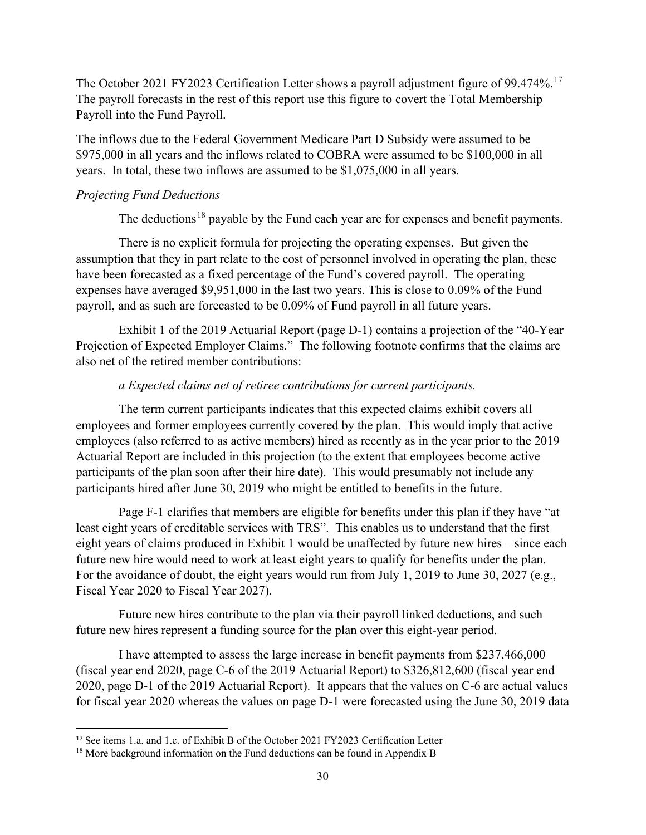The October 2021 FY2023 Certification Letter shows a payroll adjustment figure of 99.474%.<sup>[17](#page-29-0)</sup> The payroll forecasts in the rest of this report use this figure to covert the Total Membership Payroll into the Fund Payroll.

The inflows due to the Federal Government Medicare Part D Subsidy were assumed to be \$975,000 in all years and the inflows related to COBRA were assumed to be \$100,000 in all years. In total, these two inflows are assumed to be \$1,075,000 in all years.

# *Projecting Fund Deductions*

The deductions<sup>[18](#page-29-1)</sup> payable by the Fund each year are for expenses and benefit payments.

There is no explicit formula for projecting the operating expenses. But given the assumption that they in part relate to the cost of personnel involved in operating the plan, these have been forecasted as a fixed percentage of the Fund's covered payroll. The operating expenses have averaged \$9,951,000 in the last two years. This is close to 0.09% of the Fund payroll, and as such are forecasted to be 0.09% of Fund payroll in all future years.

Exhibit 1 of the 2019 Actuarial Report (page D-1) contains a projection of the "40-Year Projection of Expected Employer Claims." The following footnote confirms that the claims are also net of the retired member contributions:

# *a Expected claims net of retiree contributions for current participants.*

The term current participants indicates that this expected claims exhibit covers all employees and former employees currently covered by the plan. This would imply that active employees (also referred to as active members) hired as recently as in the year prior to the 2019 Actuarial Report are included in this projection (to the extent that employees become active participants of the plan soon after their hire date). This would presumably not include any participants hired after June 30, 2019 who might be entitled to benefits in the future.

Page F-1 clarifies that members are eligible for benefits under this plan if they have "at least eight years of creditable services with TRS". This enables us to understand that the first eight years of claims produced in Exhibit 1 would be unaffected by future new hires – since each future new hire would need to work at least eight years to qualify for benefits under the plan. For the avoidance of doubt, the eight years would run from July 1, 2019 to June 30, 2027 (e.g., Fiscal Year 2020 to Fiscal Year 2027).

Future new hires contribute to the plan via their payroll linked deductions, and such future new hires represent a funding source for the plan over this eight-year period.

I have attempted to assess the large increase in benefit payments from \$237,466,000 (fiscal year end 2020, page C-6 of the 2019 Actuarial Report) to \$326,812,600 (fiscal year end 2020, page D-1 of the 2019 Actuarial Report). It appears that the values on C-6 are actual values for fiscal year 2020 whereas the values on page D-1 were forecasted using the June 30, 2019 data

<span id="page-29-0"></span><sup>17</sup> See items 1.a. and 1.c. of Exhibit B of the October 2021 FY2023 Certification Letter

<span id="page-29-1"></span><sup>&</sup>lt;sup>18</sup> More background information on the Fund deductions can be found in Appendix B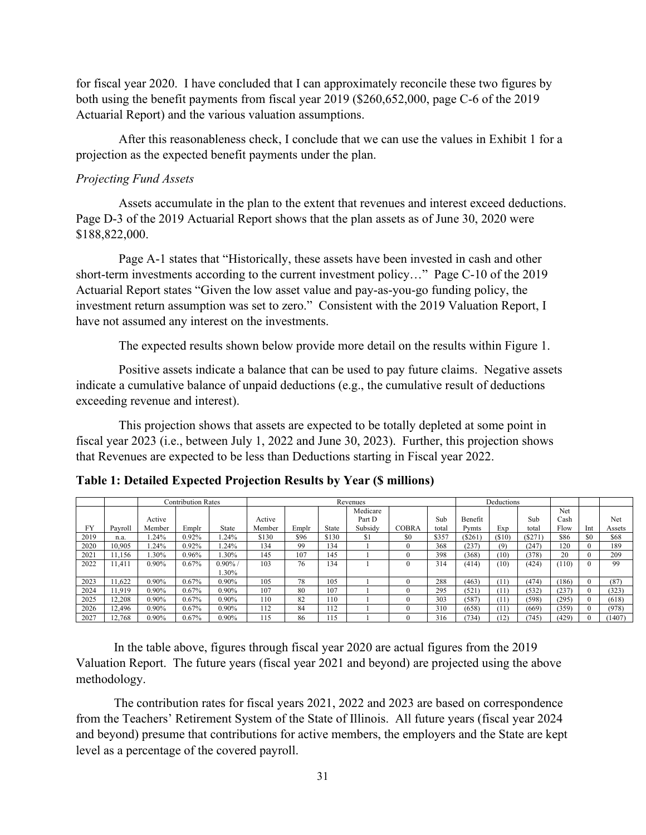for fiscal year 2020. I have concluded that I can approximately reconcile these two figures by both using the benefit payments from fiscal year 2019 (\$260,652,000, page C-6 of the 2019 Actuarial Report) and the various valuation assumptions.

After this reasonableness check, I conclude that we can use the values in Exhibit 1 for a projection as the expected benefit payments under the plan.

#### *Projecting Fund Assets*

Assets accumulate in the plan to the extent that revenues and interest exceed deductions. Page D-3 of the 2019 Actuarial Report shows that the plan assets as of June 30, 2020 were \$188,822,000.

Page A-1 states that "Historically, these assets have been invested in cash and other short-term investments according to the current investment policy…" Page C-10 of the 2019 Actuarial Report states "Given the low asset value and pay-as-you-go funding policy, the investment return assumption was set to zero." Consistent with the 2019 Valuation Report, I have not assumed any interest on the investments.

The expected results shown below provide more detail on the results within Figure 1.

Positive assets indicate a balance that can be used to pay future claims. Negative assets indicate a cumulative balance of unpaid deductions (e.g., the cumulative result of deductions exceeding revenue and interest).

This projection shows that assets are expected to be totally depleted at some point in fiscal year 2023 (i.e., between July 1, 2022 and June 30, 2023). Further, this projection shows that Revenues are expected to be less than Deductions starting in Fiscal year 2022.

|           |         |        | <b>Contribution Rates</b> |          | Revenues |       |       |                |              | Deductions |         |       |        |       |     |        |
|-----------|---------|--------|---------------------------|----------|----------|-------|-------|----------------|--------------|------------|---------|-------|--------|-------|-----|--------|
|           |         |        |                           |          |          |       |       | Medicare       |              |            |         |       |        | Net   |     |        |
|           |         | Active |                           |          | Active   |       |       | Part D         |              | Sub        | Benefit |       | Sub    | Cash  |     | Net    |
| <b>FY</b> | Pavroll | Member | Emplr                     | State    | Member   | Emplr | State | Subsidy        | <b>COBRA</b> | total      | Pymts   | Exp   | total  | Flow  | Int | Assets |
| 2019      | n.a.    | 1.24%  | 0.92%                     | .24%     | \$130    | \$96  | \$130 | <sup>\$1</sup> | \$0          | \$357      | (S261)  | (S10) | (S271) | \$86  | \$0 | \$68   |
| 2020      | 10.905  | 1.24%  | 0.92%                     | .24%     | 134      | 99    | 134   |                | $\Omega$     | 368        | (237)   | (9)   | (247)  | 120   |     | 189    |
| 2021      | 11,156  | 1.30%  | 0.96%                     | $.30\%$  | 145      | 107   | 145   |                | $\theta$     | 398        | (368)   | (10)  | (378)  | 20    |     | 209    |
| 2022      | 11,411  | 0.90%  | 0.67%                     | $0.90\%$ | 103      | 76    | 134   |                | $\theta$     | 314        | (414)   | (10)  | (424)  | (110) |     | 99     |
|           |         |        |                           | $.30\%$  |          |       |       |                |              |            |         |       |        |       |     |        |
| 2023      | 1.622   | 0.90%  | 0.67%                     | $0.90\%$ | 105      | 78    | 105   |                | $\theta$     | 288        | (463)   | (11)  | (474)  | (186) |     | (87)   |
| 2024      | 11.919  | 0.90%  | 0.67%                     | $0.90\%$ | 107      | 80    | 107   |                | $\theta$     | 295        | (521)   | (11)  | (532)  | (237) |     | (323)  |
| 2025      | 12,208  | 0.90%  | 0.67%                     | $0.90\%$ | 110      | 82    | 110   |                | $\Omega$     | 303        | (587)   | (11)  | (598)  | (295) |     | (618)  |
| 2026      | 12,496  | 0.90%  | 0.67%                     | $0.90\%$ | 112      | 84    | 112   |                | $\theta$     | 310        | (658)   | (11)  | (669)  | (359) |     | (978)  |
| 2027      | 12.768  | 0.90%  | 0.67%                     | 0.90%    | 115      | 86    | 115   |                | $\Omega$     | 316        | (734)   | (12)  | 745)   | (429) |     | 1407   |

**Table 1: Detailed Expected Projection Results by Year (\$ millions)**

In the table above, figures through fiscal year 2020 are actual figures from the 2019 Valuation Report. The future years (fiscal year 2021 and beyond) are projected using the above methodology.

The contribution rates for fiscal years 2021, 2022 and 2023 are based on correspondence from the Teachers' Retirement System of the State of Illinois. All future years (fiscal year 2024 and beyond) presume that contributions for active members, the employers and the State are kept level as a percentage of the covered payroll.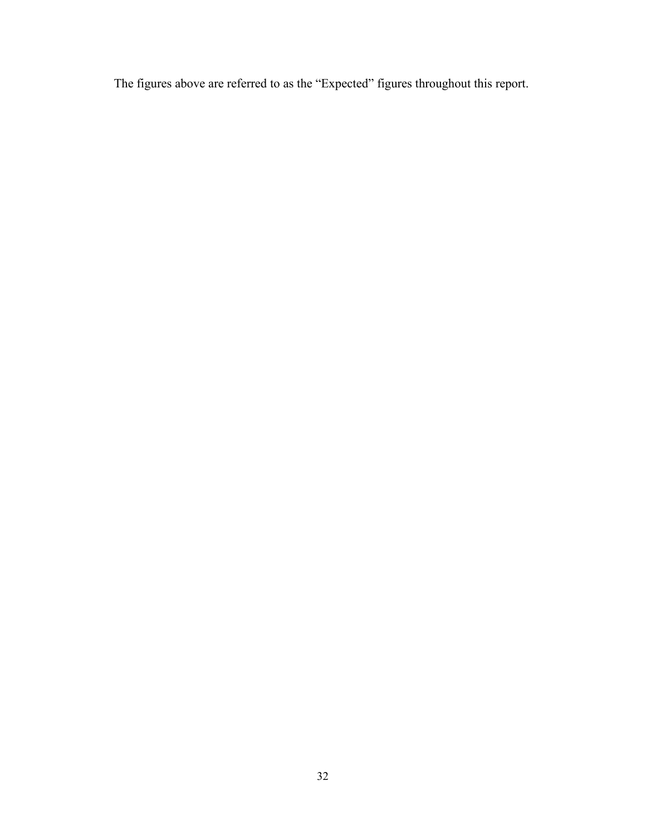The figures above are referred to as the "Expected" figures throughout this report.